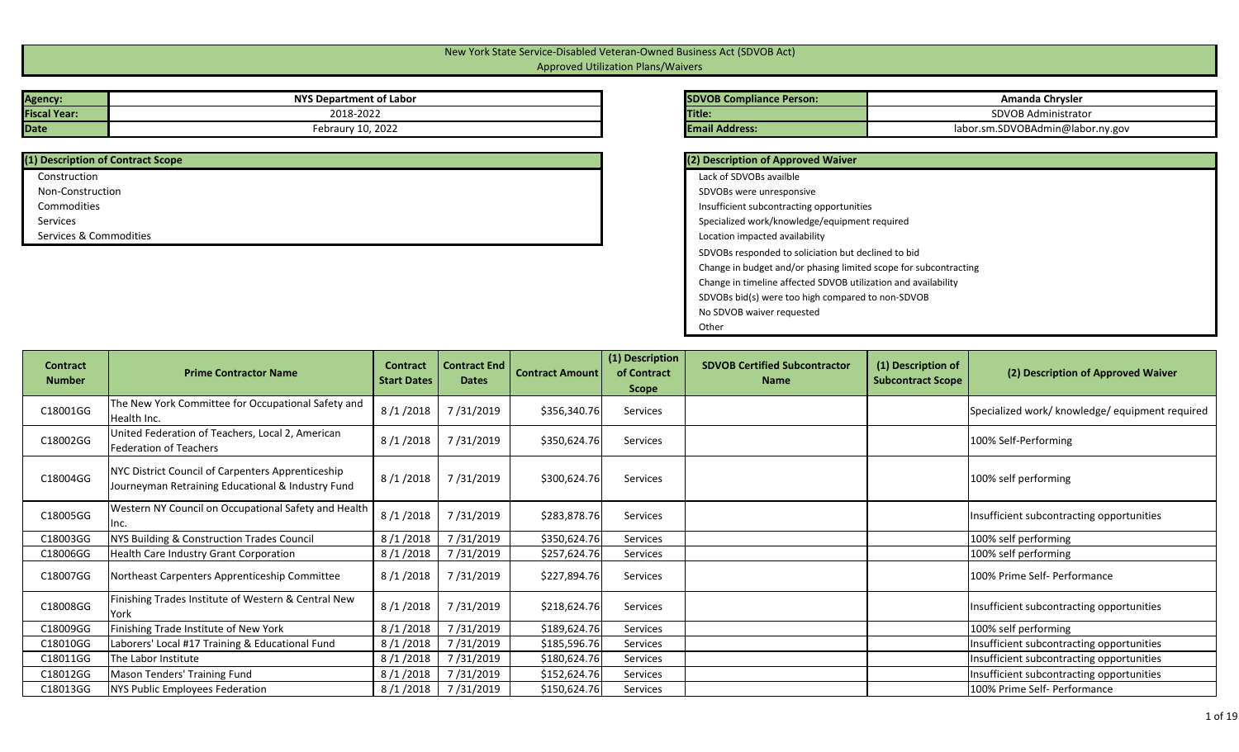## New York State Service-Disabled Veteran-Owned Business Act (SDVOB Act) Approved Utilization Plans/Waivers

| <b>Agency:</b>      | NYS Department of Labor | <b>SDVOB Compliance Person:</b> |
|---------------------|-------------------------|---------------------------------|
| <b>Fiscal Year:</b> | 2018-2022               | <b>Title:</b>                   |
| <b>Date</b>         | Febraury 10, 2022       | <b>Email Address:</b>           |

| (1) Description of Contract Scope |
|-----------------------------------|
| Construction                      |
| Non-Construction                  |
| Commodities                       |
| Services                          |
| Services & Commodities            |
|                                   |

| <b>SDVOB Compliance Person:</b> | Amanda Chrysler                  |
|---------------------------------|----------------------------------|
| <b>Title:</b>                   | SDVOB Administrator              |
| <b>Email Address:</b>           | labor.sm.SDVOBAdmin@labor.ny.gov |

| (2) Description of Approved Waiver                               |
|------------------------------------------------------------------|
| Lack of SDVOBs availble                                          |
| SDVOBs were unresponsive                                         |
| Insufficient subcontracting opportunities                        |
| Specialized work/knowledge/equipment required                    |
| Location impacted availability                                   |
| SDVOBs responded to soliciation but declined to bid              |
| Change in budget and/or phasing limited scope for subcontracting |
| Change in timeline affected SDVOB utilization and availability   |
| SDVOBs bid(s) were too high compared to non-SDVOB                |
| No SDVOB waiver requested                                        |
| Other                                                            |

| <b>Contract</b><br><b>Number</b> | <b>Prime Contractor Name</b>                                                                           | <b>Contract</b><br><b>Start Dates</b> | <b>Contract End</b><br><b>Dates</b> | <b>Contract Amount</b> | (1) Description<br>of Contract<br><b>Scope</b> | <b>SDVOB Certified Subcontractor</b><br><b>Name</b> | (1) Description of<br><b>Subcontract Scope</b> | (2) Description of Approved Waiver              |
|----------------------------------|--------------------------------------------------------------------------------------------------------|---------------------------------------|-------------------------------------|------------------------|------------------------------------------------|-----------------------------------------------------|------------------------------------------------|-------------------------------------------------|
| C18001GG                         | The New York Committee for Occupational Safety and<br>Health Inc.                                      | 8/1/2018                              | 7/31/2019                           | \$356,340.76           | Services                                       |                                                     |                                                | Specialized work/ knowledge/ equipment required |
| C18002GG                         | United Federation of Teachers, Local 2, American<br>Federation of Teachers                             | 8/1/2018                              | 7/31/2019                           | \$350,624.76           | Services                                       |                                                     |                                                | 100% Self-Performing                            |
| C18004GG                         | NYC District Council of Carpenters Apprenticeship<br>Journeyman Retraining Educational & Industry Fund | 8/1/2018                              | 7/31/2019                           | \$300,624.76           | Services                                       |                                                     |                                                | 100% self performing                            |
| C18005GG                         | Western NY Council on Occupational Safety and Health<br>Inc.                                           | 8/1/2018                              | 7/31/2019                           | \$283,878.76           | Services                                       |                                                     |                                                | Insufficient subcontracting opportunities       |
| C18003GG                         | NYS Building & Construction Trades Council                                                             | 8/1/2018                              | 7/31/2019                           | \$350,624.76           | Services                                       |                                                     |                                                | 100% self performing                            |
| C18006GG                         | Health Care Industry Grant Corporation                                                                 | 8/1/2018                              | 7/31/2019                           | \$257,624.76           | Services                                       |                                                     |                                                | 100% self performing                            |
| C18007GG                         | Northeast Carpenters Apprenticeship Committee                                                          | 8/1/2018                              | 7/31/2019                           | \$227,894.76           | Services                                       |                                                     |                                                | 100% Prime Self- Performance                    |
| C18008GG                         | Finishing Trades Institute of Western & Central New<br>York                                            | 8/1/2018                              | 7/31/2019                           | \$218,624.76           | Services                                       |                                                     |                                                | Insufficient subcontracting opportunities       |
| C18009GG                         | Finishing Trade Institute of New York                                                                  | 8/1/2018                              | 7/31/2019                           | \$189,624.76           | Services                                       |                                                     |                                                | 100% self performing                            |
| C18010GG                         | Laborers' Local #17 Training & Educational Fund                                                        | 8/1/2018                              | 7/31/2019                           | \$185,596.76           | Services                                       |                                                     |                                                | Insufficient subcontracting opportunities       |
| C18011GG                         | The Labor Institute                                                                                    | 8/1/2018                              | 7/31/2019                           | \$180,624.76           | Services                                       |                                                     |                                                | Insufficient subcontracting opportunities       |
| C18012GG                         | Mason Tenders' Training Fund                                                                           | 8/1/2018                              | 7/31/2019                           | \$152,624.76           | Services                                       |                                                     |                                                | Insufficient subcontracting opportunities       |
| C18013GG                         | NYS Public Employees Federation                                                                        | 8/1/2018                              | 7/31/2019                           | \$150,624.76           | Services                                       |                                                     |                                                | 100% Prime Self- Performance                    |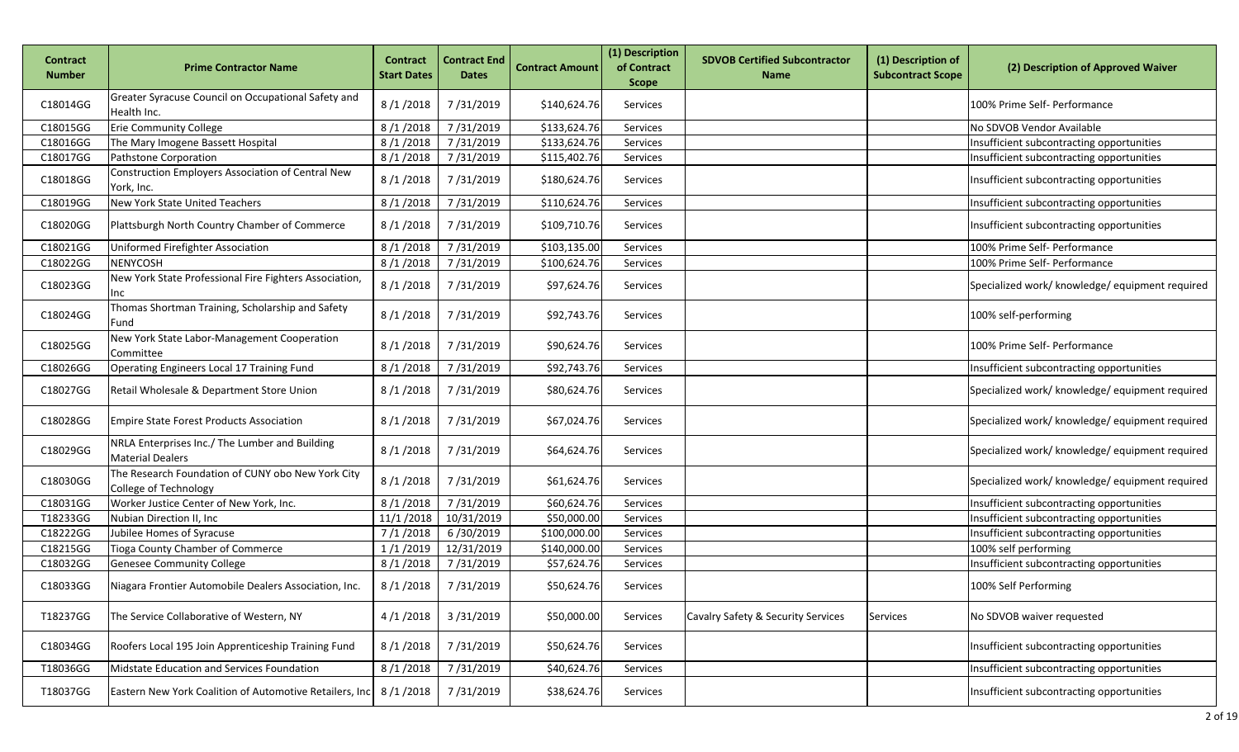| <b>Contract</b><br><b>Number</b> | <b>Prime Contractor Name</b>                                                      | <b>Contract</b><br><b>Start Dates</b> | <b>Contract End</b><br><b>Dates</b> | <b>Contract Amount</b> | (1) Description<br>of Contract<br><b>Scope</b> | <b>SDVOB Certified Subcontractor</b><br><b>Name</b> | (1) Description of<br><b>Subcontract Scope</b> | (2) Description of Approved Waiver              |
|----------------------------------|-----------------------------------------------------------------------------------|---------------------------------------|-------------------------------------|------------------------|------------------------------------------------|-----------------------------------------------------|------------------------------------------------|-------------------------------------------------|
| C18014GG                         | Greater Syracuse Council on Occupational Safety and<br>Health Inc.                | 8/1/2018                              | 7/31/2019                           | \$140,624.76           | Services                                       |                                                     |                                                | 100% Prime Self- Performance                    |
| C18015GG                         | <b>Erie Community College</b>                                                     | 8/1/2018                              | 7/31/2019                           | \$133,624.76           | Services                                       |                                                     |                                                | No SDVOB Vendor Available                       |
| C18016GG                         | The Mary Imogene Bassett Hospital                                                 | 8/1/2018                              | 7/31/2019                           | \$133,624.76           | Services                                       |                                                     |                                                | Insufficient subcontracting opportunities       |
| C18017GG                         | Pathstone Corporation                                                             | 8/1/2018                              | 7/31/2019                           | \$115,402.76           | Services                                       |                                                     |                                                | Insufficient subcontracting opportunities       |
| C18018GG                         | Construction Employers Association of Central New<br>York, Inc.                   | 8/1/2018                              | 7/31/2019                           | \$180,624.76           | <b>Services</b>                                |                                                     |                                                | Insufficient subcontracting opportunities       |
| C18019GG                         | New York State United Teachers                                                    | 8/1/2018                              | 7/31/2019                           | \$110,624.76           | Services                                       |                                                     |                                                | Insufficient subcontracting opportunities       |
| C18020GG                         | Plattsburgh North Country Chamber of Commerce                                     | 8/1/2018                              | 7/31/2019                           | \$109,710.76           | <b>Services</b>                                |                                                     |                                                | Insufficient subcontracting opportunities       |
| C18021GG                         | Uniformed Firefighter Association                                                 | 8/1/2018                              | 7/31/2019                           | \$103,135.00           | Services                                       |                                                     |                                                | 100% Prime Self- Performance                    |
| C18022GG                         | <b>NENYCOSH</b>                                                                   | 8/1/2018                              | 7/31/2019                           | \$100,624.76           | Services                                       |                                                     |                                                | 100% Prime Self- Performance                    |
| C18023GG                         | New York State Professional Fire Fighters Association,<br>Inc                     | 8/1/2018                              | 7/31/2019                           | \$97,624.76            | Services                                       |                                                     |                                                | Specialized work/ knowledge/ equipment required |
| C18024GG                         | Thomas Shortman Training, Scholarship and Safety<br>Fund                          | 8/1/2018                              | 7/31/2019                           | \$92,743.76            | Services                                       |                                                     |                                                | 100% self-performing                            |
| C18025GG                         | New York State Labor-Management Cooperation<br>Committee                          | 8/1/2018                              | 7/31/2019                           | \$90,624.76            | Services                                       |                                                     |                                                | 100% Prime Self- Performance                    |
| C18026GG                         | Operating Engineers Local 17 Training Fund                                        | 8/1/2018                              | 7/31/2019                           | \$92,743.76            | Services                                       |                                                     |                                                | Insufficient subcontracting opportunities       |
| C18027GG                         | Retail Wholesale & Department Store Union                                         | 8/1/2018                              | 7/31/2019                           | \$80,624.76            | Services                                       |                                                     |                                                | Specialized work/ knowledge/ equipment required |
| C18028GG                         | <b>Empire State Forest Products Association</b>                                   | 8/1/2018                              | 7/31/2019                           | \$67,024.76            | Services                                       |                                                     |                                                | Specialized work/ knowledge/ equipment required |
| C18029GG                         | NRLA Enterprises Inc./ The Lumber and Building<br><b>Material Dealers</b>         | 8/1/2018                              | 7/31/2019                           | \$64,624.76            | Services                                       |                                                     |                                                | Specialized work/ knowledge/ equipment required |
| C18030GG                         | The Research Foundation of CUNY obo New York City<br><b>College of Technology</b> | 8/1/2018                              | 7/31/2019                           | \$61,624.76            | Services                                       |                                                     |                                                | Specialized work/ knowledge/ equipment required |
| C18031GG                         | Worker Justice Center of New York, Inc.                                           | 8/1/2018                              | 7/31/2019                           | \$60,624.76            | Services                                       |                                                     |                                                | Insufficient subcontracting opportunities       |
| T18233GG                         | Nubian Direction II, Inc                                                          | 11/1/2018                             | 10/31/2019                          | \$50,000.00            | Services                                       |                                                     |                                                | Insufficient subcontracting opportunities       |
| C18222GG                         | Jubilee Homes of Syracuse                                                         | 7/1/2018                              | 6/30/2019                           | \$100,000.00           | Services                                       |                                                     |                                                | Insufficient subcontracting opportunities       |
| C18215GG                         | Tioga County Chamber of Commerce                                                  | 1/1/2019                              | 12/31/2019                          | \$140,000.00           | Services                                       |                                                     |                                                | 100% self performing                            |
| C18032GG                         | <b>Genesee Community College</b>                                                  | 8/1/2018                              | 7/31/2019                           | \$57,624.76            | Services                                       |                                                     |                                                | Insufficient subcontracting opportunities       |
| C18033GG                         | Niagara Frontier Automobile Dealers Association, Inc.                             | 8/1/2018                              | 7/31/2019                           | \$50,624.76            | Services                                       |                                                     |                                                | 100% Self Performing                            |
| T18237GG                         | The Service Collaborative of Western, NY                                          | 4/1/2018                              | 3/31/2019                           | \$50,000.00            | Services                                       | Cavalry Safety & Security Services                  | <b>Services</b>                                | No SDVOB waiver requested                       |
| C18034GG                         | Roofers Local 195 Join Apprenticeship Training Fund                               | 8/1/2018                              | 7/31/2019                           | \$50,624.76            | Services                                       |                                                     |                                                | Insufficient subcontracting opportunities       |
| T18036GG                         | Midstate Education and Services Foundation                                        | 8/1/2018                              | 7/31/2019                           | \$40,624.76            | Services                                       |                                                     |                                                | Insufficient subcontracting opportunities       |
| T18037GG                         | Eastern New York Coalition of Automotive Retailers, Inc   8/1/2018                |                                       | 7/31/2019                           | \$38,624.76            | Services                                       |                                                     |                                                | Insufficient subcontracting opportunities       |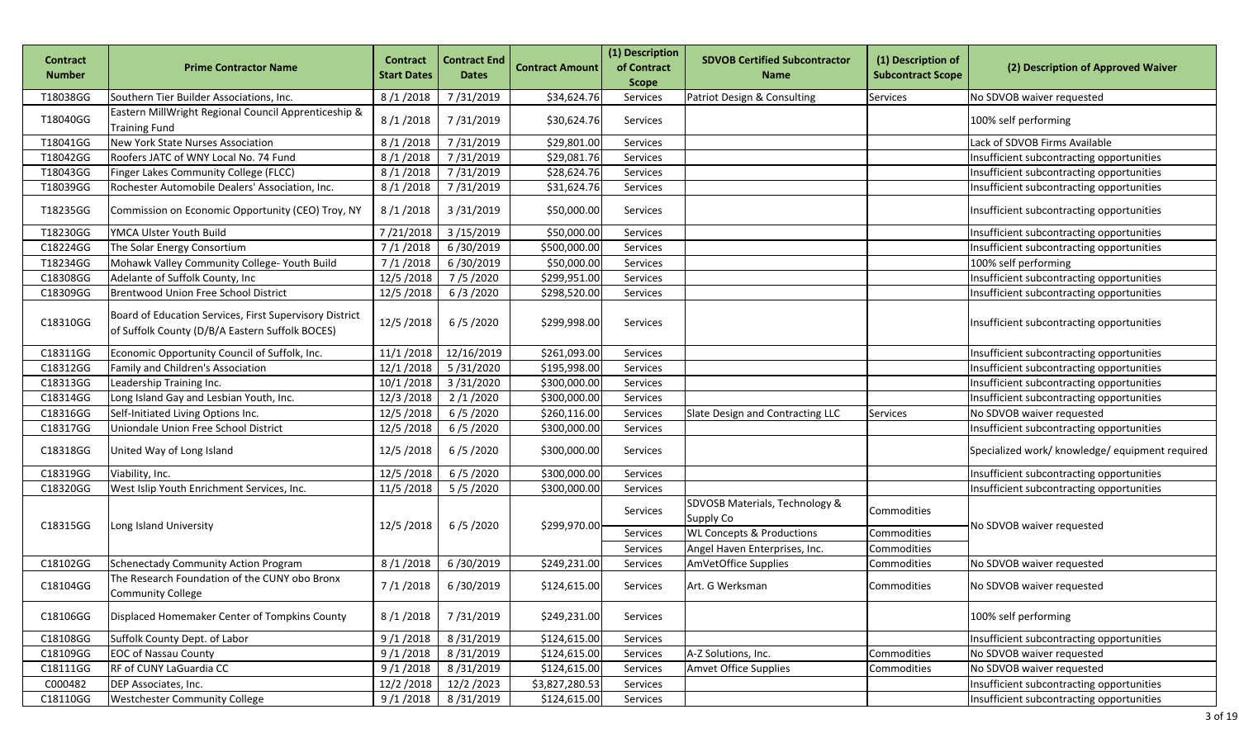| <b>Contract</b><br><b>Number</b> | <b>Prime Contractor Name</b>                                                                               | <b>Contract</b><br><b>Start Dates</b> | <b>Contract End</b><br><b>Dates</b> | <b>Contract Amount</b> | (1) Description<br>of Contract<br><b>Scope</b> | <b>SDVOB Certified Subcontractor</b><br><b>Name</b> | (1) Description of<br><b>Subcontract Scope</b> | (2) Description of Approved Waiver              |
|----------------------------------|------------------------------------------------------------------------------------------------------------|---------------------------------------|-------------------------------------|------------------------|------------------------------------------------|-----------------------------------------------------|------------------------------------------------|-------------------------------------------------|
| T18038GG                         | Southern Tier Builder Associations, Inc.                                                                   | 8/1/2018                              | 7/31/2019                           | \$34,624.76            | Services                                       | Patriot Design & Consulting                         | <b>Services</b>                                | No SDVOB waiver requested                       |
| T18040GG                         | Eastern MillWright Regional Council Apprenticeship &<br><b>Training Fund</b>                               | 8/1/2018                              | 7/31/2019                           | \$30,624.76            | Services                                       |                                                     |                                                | 100% self performing                            |
| T18041GG                         | New York State Nurses Association                                                                          | 8/1/2018                              | 7/31/2019                           | \$29,801.00            | Services                                       |                                                     |                                                | Lack of SDVOB Firms Available                   |
| T18042GG                         | Roofers JATC of WNY Local No. 74 Fund                                                                      | 8/1/2018                              | 7/31/2019                           | \$29,081.76            | Services                                       |                                                     |                                                | Insufficient subcontracting opportunities       |
| T18043GG                         | Finger Lakes Community College (FLCC)                                                                      | 8/1/2018                              | 7/31/2019                           | \$28,624.76            | Services                                       |                                                     |                                                | Insufficient subcontracting opportunities       |
| T18039GG                         | Rochester Automobile Dealers' Association, Inc.                                                            | 8/1/2018                              | 7/31/2019                           | \$31,624.76            | Services                                       |                                                     |                                                | Insufficient subcontracting opportunities       |
| T18235GG                         | Commission on Economic Opportunity (CEO) Troy, NY                                                          | 8/1/2018                              | 3/31/2019                           | \$50,000.00            | Services                                       |                                                     |                                                | Insufficient subcontracting opportunities       |
| T18230GG                         | YMCA Ulster Youth Build                                                                                    | 7/21/2018                             | 3/15/2019                           | \$50,000.00            | Services                                       |                                                     |                                                | Insufficient subcontracting opportunities       |
| C18224GG                         | The Solar Energy Consortium                                                                                | 7/1/2018                              | 6/30/2019                           | \$500,000.00           | Services                                       |                                                     |                                                | Insufficient subcontracting opportunities       |
| T18234GG                         | Mohawk Valley Community College- Youth Build                                                               | 7/1/2018                              | 6/30/2019                           | \$50,000.00            | Services                                       |                                                     |                                                | 100% self performing                            |
| C18308GG                         | Adelante of Suffolk County, Inc                                                                            | 12/5/2018                             | 7/5/2020                            | \$299,951.00           | Services                                       |                                                     |                                                | Insufficient subcontracting opportunities       |
| C18309GG                         | Brentwood Union Free School District                                                                       | 12/5/2018                             | 6/3/2020                            | \$298,520.00           | Services                                       |                                                     |                                                | Insufficient subcontracting opportunities       |
| C18310GG                         | Board of Education Services, First Supervisory District<br>of Suffolk County (D/B/A Eastern Suffolk BOCES) | 12/5/2018                             | 6/5/2020                            | \$299,998.00           | Services                                       |                                                     |                                                | Insufficient subcontracting opportunities       |
| C18311GG                         | Economic Opportunity Council of Suffolk, Inc.                                                              | 11/1/2018                             | 12/16/2019                          | \$261,093.00           | Services                                       |                                                     |                                                | Insufficient subcontracting opportunities       |
| C18312GG                         | Family and Children's Association                                                                          | 12/1/2018                             | 5/31/2020                           | \$195,998.00           | Services                                       |                                                     |                                                | Insufficient subcontracting opportunities       |
| C18313GG                         | Leadership Training Inc.                                                                                   | 10/1/2018                             | 3/31/2020                           | \$300,000.00           | Services                                       |                                                     |                                                | Insufficient subcontracting opportunities       |
| C18314GG                         | Long Island Gay and Lesbian Youth, Inc.                                                                    | 12/3/2018                             | 2/1/2020                            | \$300,000.00           | Services                                       |                                                     |                                                | Insufficient subcontracting opportunities       |
| C18316GG                         | Self-Initiated Living Options Inc.                                                                         | 12/5/2018                             | 6/5/2020                            | \$260,116.00           | Services                                       | Slate Design and Contracting LLC                    | <b>Services</b>                                | No SDVOB waiver requested                       |
| C18317GG                         | Uniondale Union Free School District                                                                       | 12/5/2018                             | 6/5/2020                            | \$300,000.00           | Services                                       |                                                     |                                                | Insufficient subcontracting opportunities       |
| C18318GG                         | United Way of Long Island                                                                                  | 12/5/2018                             | 6/5/2020                            | \$300,000.00           | Services                                       |                                                     |                                                | Specialized work/ knowledge/ equipment required |
| C18319GG                         | Viability, Inc.                                                                                            | 12/5/2018                             | 6/5/2020                            | \$300,000.00           | Services                                       |                                                     |                                                | Insufficient subcontracting opportunities       |
| C18320GG                         | West Islip Youth Enrichment Services, Inc.                                                                 | 11/5/2018                             | 5/5/2020                            | \$300,000.00           | Services                                       |                                                     |                                                | Insufficient subcontracting opportunities       |
| C18315GG                         | Long Island University                                                                                     | 12/5/2018                             | 6/5/2020                            | \$299,970.00           | Services                                       | SDVOSB Materials, Technology &<br>Supply Co         | Commodities                                    | No SDVOB waiver requested                       |
|                                  |                                                                                                            |                                       |                                     |                        | Services                                       | <b>WL Concepts &amp; Productions</b>                | Commodities                                    |                                                 |
|                                  |                                                                                                            |                                       |                                     |                        | Services                                       | Angel Haven Enterprises, Inc.                       | Commodities                                    |                                                 |
| C18102GG                         | <b>Schenectady Community Action Program</b>                                                                | 8/1/2018                              | 6/30/2019                           | \$249,231.00           | Services                                       | AmVetOffice Supplies                                | Commodities                                    | No SDVOB waiver requested                       |
| C18104GG                         | The Research Foundation of the CUNY obo Bronx<br><b>Community College</b>                                  | 7/1/2018                              | 6/30/2019                           | \$124,615.00           | Services                                       | Art. G Werksman                                     | Commodities                                    | No SDVOB waiver requested                       |
| C18106GG                         | Displaced Homemaker Center of Tompkins County                                                              | 8/1/2018                              | 7/31/2019                           | \$249,231.00           | Services                                       |                                                     |                                                | 100% self performing                            |
| C18108GG                         | Suffolk County Dept. of Labor                                                                              | 9/1/2018                              | 8/31/2019                           | \$124,615.00           | Services                                       |                                                     |                                                | Insufficient subcontracting opportunities       |
| C18109GG                         | <b>EOC of Nassau County</b>                                                                                | 9/1/2018                              | 8/31/2019                           | \$124,615.00           | Services                                       | A-Z Solutions, Inc.                                 | Commodities                                    | No SDVOB waiver requested                       |
| C18111GG                         | RF of CUNY LaGuardia CC                                                                                    | 9/1/2018                              | 8/31/2019                           | \$124,615.00           | Services                                       | Amvet Office Supplies                               | Commodities                                    | No SDVOB waiver requested                       |
| C000482                          | DEP Associates, Inc.                                                                                       | 12/2/2018                             | 12/2/2023                           | \$3,827,280.53         | Services                                       |                                                     |                                                | Insufficient subcontracting opportunities       |
| C18110GG                         | <b>Westchester Community College</b>                                                                       | 9/1/2018                              | 8/31/2019                           | \$124,615.00           | Services                                       |                                                     |                                                | Insufficient subcontracting opportunities       |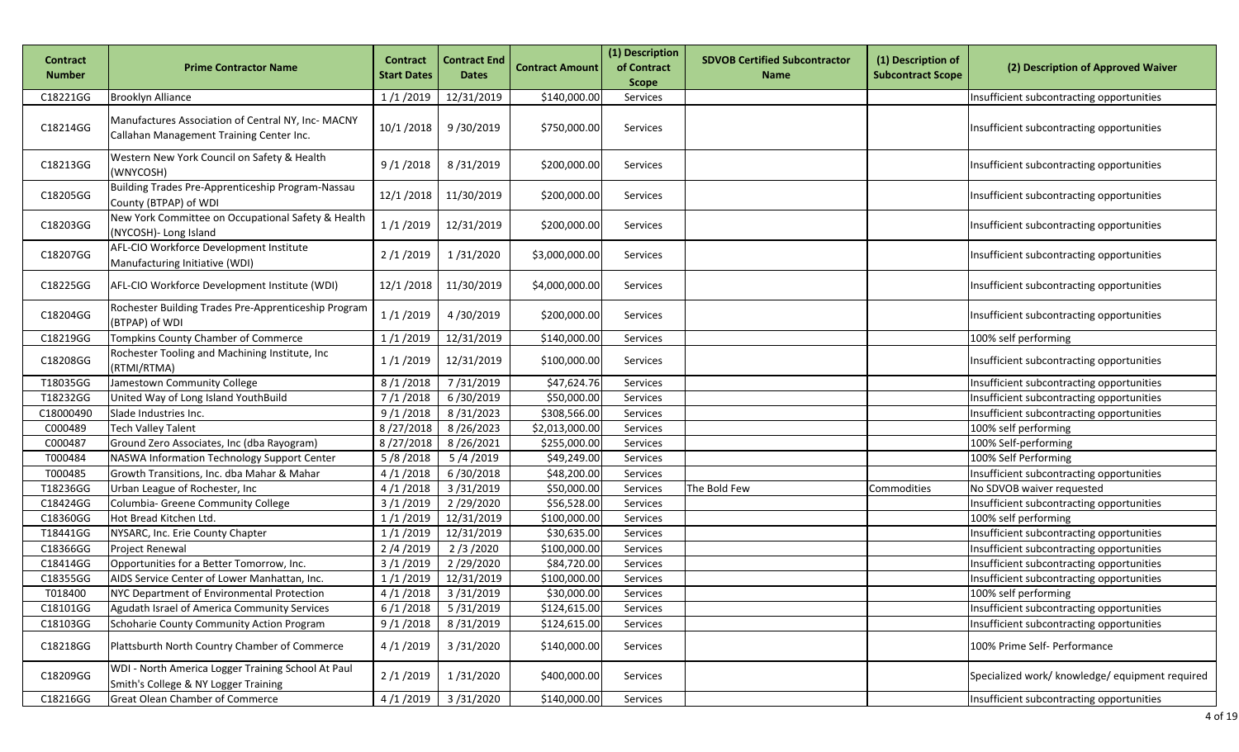| Contract<br><b>Number</b> | <b>Prime Contractor Name</b>                                                                   | <b>Contract</b><br><b>Start Dates</b> | <b>Contract End</b><br><b>Dates</b> | <b>Contract Amount</b> | (1) Description<br>of Contract<br><b>Scope</b> | <b>SDVOB Certified Subcontractor</b><br><b>Name</b> | (1) Description of<br><b>Subcontract Scope</b> | (2) Description of Approved Waiver              |
|---------------------------|------------------------------------------------------------------------------------------------|---------------------------------------|-------------------------------------|------------------------|------------------------------------------------|-----------------------------------------------------|------------------------------------------------|-------------------------------------------------|
| C18221GG                  | <b>Brooklyn Alliance</b>                                                                       | 1/1/2019                              | 12/31/2019                          | \$140,000.00           | Services                                       |                                                     |                                                | Insufficient subcontracting opportunities       |
| C18214GG                  | Manufactures Association of Central NY, Inc- MACNY<br>Callahan Management Training Center Inc. | 10/1/2018                             | 9/30/2019                           | \$750,000.00           | Services                                       |                                                     |                                                | Insufficient subcontracting opportunities       |
| C18213GG                  | Western New York Council on Safety & Health<br>(WNYCOSH)                                       | 9/1/2018                              | 8/31/2019                           | \$200,000.00           | Services                                       |                                                     |                                                | Insufficient subcontracting opportunities       |
| C18205GG                  | Building Trades Pre-Apprenticeship Program-Nassau<br>County (BTPAP) of WDI                     | 12/1/2018                             | 11/30/2019                          | \$200,000.00           | Services                                       |                                                     |                                                | Insufficient subcontracting opportunities       |
| C18203GG                  | New York Committee on Occupational Safety & Health<br>(NYCOSH)- Long Island                    | 1/1/2019                              | 12/31/2019                          | \$200,000.00           | Services                                       |                                                     |                                                | Insufficient subcontracting opportunities       |
| C18207GG                  | AFL-CIO Workforce Development Institute<br>Manufacturing Initiative (WDI)                      | 2/1/2019                              | 1/31/2020                           | \$3,000,000.00         | Services                                       |                                                     |                                                | Insufficient subcontracting opportunities       |
| C18225GG                  | AFL-CIO Workforce Development Institute (WDI)                                                  | 12/1/2018                             | 11/30/2019                          | \$4,000,000.00         | Services                                       |                                                     |                                                | Insufficient subcontracting opportunities       |
| C18204GG                  | Rochester Building Trades Pre-Apprenticeship Program<br>(BTPAP) of WDI                         | 1/1/2019                              | 4/30/2019                           | \$200,000.00           | Services                                       |                                                     |                                                | Insufficient subcontracting opportunities       |
| C18219GG                  | Tompkins County Chamber of Commerce                                                            | 1/1/2019                              | 12/31/2019                          | \$140,000.00           | Services                                       |                                                     |                                                | 100% self performing                            |
| C18208GG                  | Rochester Tooling and Machining Institute, Inc<br>(RTMI/RTMA)                                  | 1/1/2019                              | 12/31/2019                          | \$100,000.00           | Services                                       |                                                     |                                                | Insufficient subcontracting opportunities       |
| T18035GG                  | Jamestown Community College                                                                    | 8/1/2018                              | 7/31/2019                           | \$47,624.76            | Services                                       |                                                     |                                                | Insufficient subcontracting opportunities       |
| T18232GG                  | United Way of Long Island YouthBuild                                                           | 7/1/2018                              | 6/30/2019                           | \$50,000.00            | Services                                       |                                                     |                                                | Insufficient subcontracting opportunities       |
| C18000490                 | Slade Industries Inc.                                                                          | 9/1/2018                              | 8/31/2023                           | \$308,566.00           | Services                                       |                                                     |                                                | Insufficient subcontracting opportunities       |
| C000489                   | <b>Tech Valley Talent</b>                                                                      | 8/27/2018                             | 8/26/2023                           | \$2,013,000.00         | Services                                       |                                                     |                                                | 100% self performing                            |
| C000487                   | Ground Zero Associates, Inc (dba Rayogram)                                                     | 8/27/2018                             | 8/26/2021                           | \$255,000.00           | Services                                       |                                                     |                                                | 100% Self-performing                            |
| T000484                   | NASWA Information Technology Support Center                                                    | 5/8/2018                              | 5/4/2019                            | \$49,249.00            | Services                                       |                                                     |                                                | 100% Self Performing                            |
| T000485                   | Growth Transitions, Inc. dba Mahar & Mahar                                                     | 4/1/2018                              | 6/30/2018                           | \$48,200.00            | Services                                       |                                                     |                                                | Insufficient subcontracting opportunities       |
| T18236GG                  | Urban League of Rochester, Inc                                                                 | 4/1/2018                              | 3/31/2019                           | \$50,000.00            | Services                                       | The Bold Few                                        | Commodities                                    | No SDVOB waiver requested                       |
| C18424GG                  | Columbia- Greene Community College                                                             | 3/1/2019                              | 2/29/2020                           | \$56,528.00            | Services                                       |                                                     |                                                | Insufficient subcontracting opportunities       |
| C18360GG                  | Hot Bread Kitchen Ltd.                                                                         | 1/1/2019                              | 12/31/2019                          | \$100,000.00           | Services                                       |                                                     |                                                | 100% self performing                            |
| T18441GG                  | NYSARC, Inc. Erie County Chapter                                                               | 1/1/2019                              | 12/31/2019                          | \$30,635.00            | Services                                       |                                                     |                                                | Insufficient subcontracting opportunities       |
| C18366GG                  | <b>Project Renewal</b>                                                                         | 2/4/2019                              | 2/3/2020                            | \$100,000.00           | Services                                       |                                                     |                                                | Insufficient subcontracting opportunities       |
| C18414GG                  | Opportunities for a Better Tomorrow, Inc.                                                      | 3/1/2019                              | 2/29/2020                           | \$84,720.00            | Services                                       |                                                     |                                                | Insufficient subcontracting opportunities       |
| C18355GG                  | AIDS Service Center of Lower Manhattan, Inc.                                                   | 1/1/2019                              | 12/31/2019                          | \$100,000.00           | Services                                       |                                                     |                                                | Insufficient subcontracting opportunities       |
| T018400                   | NYC Department of Environmental Protection                                                     | 4/1/2018                              | 3/31/2019                           | \$30,000.00            | Services                                       |                                                     |                                                | 100% self performing                            |
| C18101GG                  | Agudath Israel of America Community Services                                                   | 6/1/2018                              | 5/31/2019                           | \$124,615.00           | Services                                       |                                                     |                                                | Insufficient subcontracting opportunities       |
| C18103GG                  | Schoharie County Community Action Program                                                      | 9/1/2018                              | 8/31/2019                           | \$124,615.00           | Services                                       |                                                     |                                                | Insufficient subcontracting opportunities       |
| C18218GG                  | Plattsburth North Country Chamber of Commerce                                                  | 4/1/2019                              | 3/31/2020                           | \$140,000.00           | Services                                       |                                                     |                                                | 100% Prime Self- Performance                    |
| C18209GG                  | WDI - North America Logger Training School At Paul<br>Smith's College & NY Logger Training     | 2/1/2019                              | 1/31/2020                           | \$400,000.00           | Services                                       |                                                     |                                                | Specialized work/ knowledge/ equipment required |
| C18216GG                  | <b>Great Olean Chamber of Commerce</b>                                                         | 4/1/2019                              | 3/31/2020                           | \$140,000.00           | Services                                       |                                                     |                                                | Insufficient subcontracting opportunities       |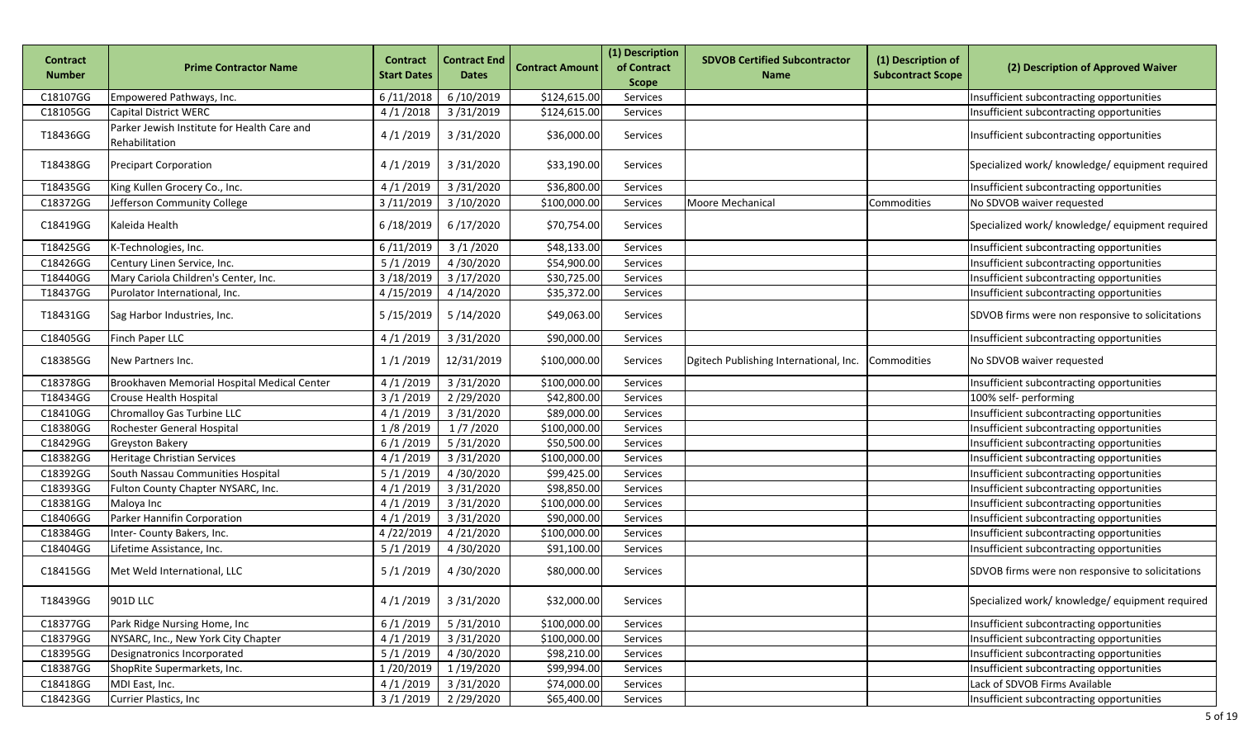| <b>Contract</b><br><b>Number</b> | <b>Prime Contractor Name</b>                                  | <b>Contract</b><br><b>Start Dates</b> | <b>Contract End</b><br><b>Dates</b> | <b>Contract Amount</b> | (1) Description<br>of Contract<br><b>Scope</b> | <b>SDVOB Certified Subcontractor</b><br><b>Name</b> | (1) Description of<br><b>Subcontract Scope</b> | (2) Description of Approved Waiver               |
|----------------------------------|---------------------------------------------------------------|---------------------------------------|-------------------------------------|------------------------|------------------------------------------------|-----------------------------------------------------|------------------------------------------------|--------------------------------------------------|
| C18107GG                         | Empowered Pathways, Inc.                                      | 6/11/2018                             | 6/10/2019                           | \$124,615.00           | Services                                       |                                                     |                                                | Insufficient subcontracting opportunities        |
| C18105GG                         | Capital District WERC                                         | 4/1/2018                              | 3/31/2019                           | \$124,615.00           | Services                                       |                                                     |                                                | Insufficient subcontracting opportunities        |
| T18436GG                         | Parker Jewish Institute for Health Care and<br>Rehabilitation | 4/1/2019                              | 3/31/2020                           | \$36,000.00            | Services                                       |                                                     |                                                | Insufficient subcontracting opportunities        |
| T18438GG                         | <b>Precipart Corporation</b>                                  | 4/1/2019                              | 3/31/2020                           | \$33,190.00            | Services                                       |                                                     |                                                | Specialized work/ knowledge/ equipment required  |
| T18435GG                         | King Kullen Grocery Co., Inc.                                 | 4/1/2019                              | 3/31/2020                           | \$36,800.00            | Services                                       |                                                     |                                                | Insufficient subcontracting opportunities        |
| C18372GG                         | Jefferson Community College                                   | 3/11/2019                             | 3/10/2020                           | \$100,000.00           | Services                                       | Moore Mechanical                                    | Commodities                                    | No SDVOB waiver requested                        |
| C18419GG                         | Kaleida Health                                                | 6/18/2019                             | 6/17/2020                           | \$70,754.00            | Services                                       |                                                     |                                                | Specialized work/ knowledge/ equipment required  |
| T18425GG                         | K-Technologies, Inc.                                          | 6/11/2019                             | 3/1/2020                            | \$48,133.00            | Services                                       |                                                     |                                                | Insufficient subcontracting opportunities        |
| C18426GG                         | Century Linen Service, Inc.                                   | 5/1/2019                              | 4/30/2020                           | \$54,900.00            | Services                                       |                                                     |                                                | Insufficient subcontracting opportunities        |
| T18440GG                         | Mary Cariola Children's Center, Inc.                          | 3/18/2019                             | 3/17/2020                           | \$30,725.00            | Services                                       |                                                     |                                                | Insufficient subcontracting opportunities        |
| T18437GG                         | Purolator International, Inc.                                 | 4/15/2019                             | 4/14/2020                           | \$35,372.00            | Services                                       |                                                     |                                                | Insufficient subcontracting opportunities        |
| T18431GG                         | Sag Harbor Industries, Inc.                                   | 5/15/2019                             | 5/14/2020                           | \$49,063.00            | Services                                       |                                                     |                                                | SDVOB firms were non responsive to solicitations |
| C18405GG                         | Finch Paper LLC                                               | 4/1/2019                              | 3/31/2020                           | \$90,000.00            | Services                                       |                                                     |                                                | Insufficient subcontracting opportunities        |
| C18385GG                         | New Partners Inc.                                             | 1/1/2019                              | 12/31/2019                          | \$100,000.00           | Services                                       | Dgitech Publishing International, Inc.              | Commodities                                    | No SDVOB waiver requested                        |
| C18378GG                         | Brookhaven Memorial Hospital Medical Center                   | 4/1/2019                              | 3/31/2020                           | \$100,000.00           | Services                                       |                                                     |                                                | Insufficient subcontracting opportunities        |
| T18434GG                         | Crouse Health Hospital                                        | 3/1/2019                              | 2/29/2020                           | \$42,800.00            | Services                                       |                                                     |                                                | 100% self- performing                            |
| C18410GG                         | Chromalloy Gas Turbine LLC                                    | 4/1/2019                              | 3/31/2020                           | \$89,000.00            | Services                                       |                                                     |                                                | Insufficient subcontracting opportunities        |
| C18380GG                         | Rochester General Hospital                                    | 1/8/2019                              | 1/7/2020                            | \$100,000.00           | Services                                       |                                                     |                                                | Insufficient subcontracting opportunities        |
| C18429GG                         | <b>Greyston Bakery</b>                                        | 6/1/2019                              | 5/31/2020                           | \$50,500.00            | Services                                       |                                                     |                                                | Insufficient subcontracting opportunities        |
| C18382GG                         | <b>Heritage Christian Services</b>                            | 4/1/2019                              | 3/31/2020                           | \$100,000.00           | Services                                       |                                                     |                                                | Insufficient subcontracting opportunities        |
| C18392GG                         | South Nassau Communities Hospital                             | 5/1/2019                              | 4/30/2020                           | \$99,425.00            | Services                                       |                                                     |                                                | Insufficient subcontracting opportunities        |
| C18393GG                         | Fulton County Chapter NYSARC, Inc.                            | 4/1/2019                              | 3/31/2020                           | \$98,850.00            | Services                                       |                                                     |                                                | Insufficient subcontracting opportunities        |
| C18381GG                         | Maloya Inc                                                    | 4/1/2019                              | 3/31/2020                           | \$100,000.00           | Services                                       |                                                     |                                                | Insufficient subcontracting opportunities        |
| C18406GG                         | Parker Hannifin Corporation                                   | 4/1/2019                              | 3/31/2020                           | \$90,000.00            | Services                                       |                                                     |                                                | Insufficient subcontracting opportunities        |
| C18384GG                         | Inter- County Bakers, Inc.                                    | 4/22/2019                             | 4/21/2020                           | \$100,000.00           | Services                                       |                                                     |                                                | Insufficient subcontracting opportunities        |
| C18404GG                         | Lifetime Assistance, Inc.                                     | 5/1/2019                              | 4/30/2020                           | \$91,100.00            | Services                                       |                                                     |                                                | Insufficient subcontracting opportunities        |
| C18415GG                         | Met Weld International, LLC                                   | 5/1/2019                              | 4/30/2020                           | \$80,000.00            | Services                                       |                                                     |                                                | SDVOB firms were non responsive to solicitations |
| T18439GG                         | 901D LLC                                                      | 4/1/2019                              | 3/31/2020                           | \$32,000.00            | Services                                       |                                                     |                                                | Specialized work/ knowledge/ equipment required  |
| C18377GG                         | Park Ridge Nursing Home, Inc                                  | 6/1/2019                              | 5/31/2010                           | \$100,000.00           | Services                                       |                                                     |                                                | Insufficient subcontracting opportunities        |
| C18379GG                         | NYSARC, Inc., New York City Chapter                           | 4/1/2019                              | 3/31/2020                           | \$100,000.00           | Services                                       |                                                     |                                                | Insufficient subcontracting opportunities        |
| C18395GG                         | Designatronics Incorporated                                   | 5/1/2019                              | 4/30/2020                           | \$98,210.00            | Services                                       |                                                     |                                                | Insufficient subcontracting opportunities        |
| C18387GG                         | ShopRite Supermarkets, Inc.                                   | 1/20/2019                             | 1/19/2020                           | \$99,994.00            | Services                                       |                                                     |                                                | Insufficient subcontracting opportunities        |
| C18418GG                         | MDI East, Inc.                                                | 4/1/2019                              | 3/31/2020                           | \$74,000.00            | Services                                       |                                                     |                                                | Lack of SDVOB Firms Available                    |
| C18423GG                         | Currier Plastics, Inc.                                        | 3/1/2019                              | 2/29/2020                           | \$65,400.00            | Services                                       |                                                     |                                                | Insufficient subcontracting opportunities        |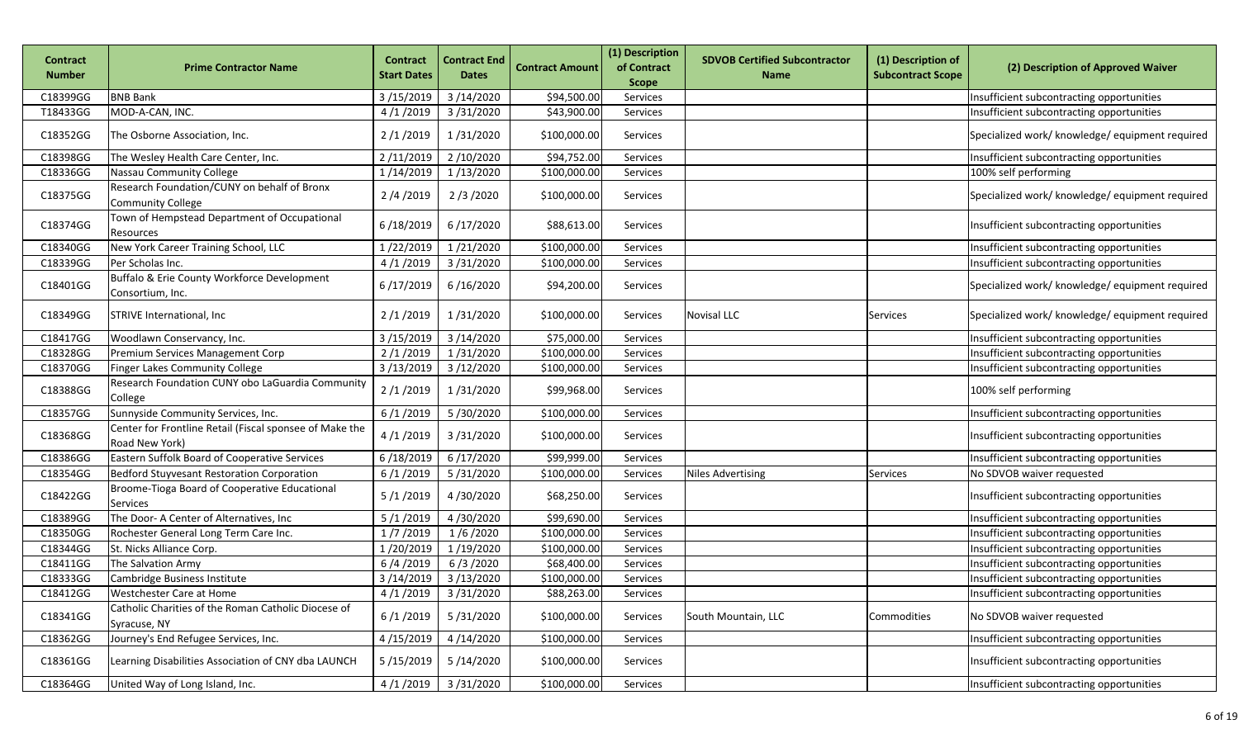| Contract<br><b>Number</b> | <b>Prime Contractor Name</b>                                              | <b>Contract</b><br><b>Start Dates</b> | <b>Contract End</b><br><b>Dates</b> | <b>Contract Amount</b> | (1) Description<br>of Contract<br><b>Scope</b> | <b>SDVOB Certified Subcontractor</b><br><b>Name</b> | (1) Description of<br><b>Subcontract Scope</b> | (2) Description of Approved Waiver              |
|---------------------------|---------------------------------------------------------------------------|---------------------------------------|-------------------------------------|------------------------|------------------------------------------------|-----------------------------------------------------|------------------------------------------------|-------------------------------------------------|
| C18399GG                  | <b>BNB Bank</b>                                                           | 3/15/2019                             | 3/14/2020                           | \$94,500.00            | Services                                       |                                                     |                                                | Insufficient subcontracting opportunities       |
| T18433GG                  | MOD-A-CAN, INC.                                                           | 4/1/2019                              | 3/31/2020                           | \$43,900.00            | Services                                       |                                                     |                                                | Insufficient subcontracting opportunities       |
| C18352GG                  | The Osborne Association, Inc.                                             | 2/1/2019                              | 1/31/2020                           | \$100,000.00           | Services                                       |                                                     |                                                | Specialized work/ knowledge/ equipment required |
| C18398GG                  | The Wesley Health Care Center, Inc.                                       | 2/11/2019                             | 2/10/2020                           | \$94,752.00            | Services                                       |                                                     |                                                | Insufficient subcontracting opportunities       |
| C18336GG                  | Nassau Community College                                                  | 1/14/2019                             | 1/13/2020                           | \$100,000.00           | Services                                       |                                                     |                                                | 100% self performing                            |
| C18375GG                  | Research Foundation/CUNY on behalf of Bronx<br><b>Community College</b>   | 2/4/2019                              | 2/3/2020                            | \$100,000.00           | Services                                       |                                                     |                                                | Specialized work/ knowledge/ equipment required |
| C18374GG                  | Town of Hempstead Department of Occupational<br>Resources                 | 6/18/2019                             | 6/17/2020                           | \$88,613.00            | Services                                       |                                                     |                                                | Insufficient subcontracting opportunities       |
| C18340GG                  | New York Career Training School, LLC                                      | 1/22/2019                             | 1/21/2020                           | \$100,000.00           | Services                                       |                                                     |                                                | Insufficient subcontracting opportunities       |
| C18339GG                  | Per Scholas Inc.                                                          | 4/1/2019                              | 3/31/2020                           | \$100,000.00           | Services                                       |                                                     |                                                | Insufficient subcontracting opportunities       |
| C18401GG                  | Buffalo & Erie County Workforce Development<br>Consortium, Inc.           | 6/17/2019                             | 6/16/2020                           | \$94,200.00            | Services                                       |                                                     |                                                | Specialized work/ knowledge/ equipment required |
| C18349GG                  | STRIVE International, Inc.                                                | 2/1/2019                              | 1/31/2020                           | \$100,000.00           | Services                                       | <b>Novisal LLC</b>                                  | <b>Services</b>                                | Specialized work/ knowledge/ equipment required |
| C18417GG                  | Woodlawn Conservancy, Inc.                                                | 3/15/2019                             | 3/14/2020                           | \$75,000.00            | Services                                       |                                                     |                                                | Insufficient subcontracting opportunities       |
| C18328GG                  | Premium Services Management Corp                                          | 2/1/2019                              | 1/31/2020                           | \$100,000.00           | Services                                       |                                                     |                                                | Insufficient subcontracting opportunities       |
| C18370GG                  | <b>Finger Lakes Community College</b>                                     | 3/13/2019                             | 3/12/2020                           | \$100,000.00           | Services                                       |                                                     |                                                | Insufficient subcontracting opportunities       |
| C18388GG                  | Research Foundation CUNY obo LaGuardia Community<br>College               | 2/1/2019                              | 1/31/2020                           | \$99,968.00            | Services                                       |                                                     |                                                | 100% self performing                            |
| C18357GG                  | Sunnyside Community Services, Inc.                                        | 6/1/2019                              | 5/30/2020                           | \$100,000.00           | Services                                       |                                                     |                                                | Insufficient subcontracting opportunities       |
| C18368GG                  | Center for Frontline Retail (Fiscal sponsee of Make the<br>Road New York) | 4/1/2019                              | 3/31/2020                           | \$100,000.00           | Services                                       |                                                     |                                                | Insufficient subcontracting opportunities       |
| C18386GG                  | Eastern Suffolk Board of Cooperative Services                             | 6/18/2019                             | 6/17/2020                           | \$99,999.00            | Services                                       |                                                     |                                                | Insufficient subcontracting opportunities       |
| C18354GG                  | Bedford Stuyvesant Restoration Corporation                                | 6/1/2019                              | 5/31/2020                           | \$100,000.00           | Services                                       | <b>Niles Advertising</b>                            | Services                                       | No SDVOB waiver requested                       |
| C18422GG                  | Broome-Tioga Board of Cooperative Educational<br><b>Services</b>          | 5/1/2019                              | 4/30/2020                           | \$68,250.00            | Services                                       |                                                     |                                                | Insufficient subcontracting opportunities       |
| C18389GG                  | The Door- A Center of Alternatives, Inc                                   | 5/1/2019                              | 4/30/2020                           | \$99,690.00            | Services                                       |                                                     |                                                | Insufficient subcontracting opportunities       |
| C18350GG                  | Rochester General Long Term Care Inc.                                     | 1/7/2019                              | 1/6/2020                            | \$100,000.00           | Services                                       |                                                     |                                                | Insufficient subcontracting opportunities       |
| C18344GG                  | St. Nicks Alliance Corp.                                                  | 1/20/2019                             | 1/19/2020                           | \$100,000.00           | Services                                       |                                                     |                                                | Insufficient subcontracting opportunities       |
| C18411GG                  | The Salvation Army                                                        | 6/4/2019                              | 6/3/2020                            | \$68,400.00            | Services                                       |                                                     |                                                | Insufficient subcontracting opportunities       |
| C18333GG                  | Cambridge Business Institute                                              | 3/14/2019                             | 3/13/2020                           | \$100,000.00           | Services                                       |                                                     |                                                | Insufficient subcontracting opportunities       |
| C18412GG                  | Westchester Care at Home                                                  |                                       | 4/1/2019 3/31/2020                  | \$88,263.00            | Services                                       |                                                     |                                                | Insufficient subcontracting opportunities       |
| C18341GG                  | Catholic Charities of the Roman Catholic Diocese of<br>Syracuse, NY       | 6/1/2019                              | 5/31/2020                           | \$100,000.00           | Services                                       | South Mountain, LLC                                 | Commodities                                    | No SDVOB waiver requested                       |
| C18362GG                  | Journey's End Refugee Services, Inc.                                      | 4/15/2019                             | 4/14/2020                           | \$100,000.00           | Services                                       |                                                     |                                                | Insufficient subcontracting opportunities       |
| C18361GG                  | Learning Disabilities Association of CNY dba LAUNCH                       | 5/15/2019                             | 5/14/2020                           | \$100,000.00           | Services                                       |                                                     |                                                | Insufficient subcontracting opportunities       |
| C18364GG                  | United Way of Long Island, Inc.                                           | 4/1/2019                              | 3/31/2020                           | \$100,000.00           | Services                                       |                                                     |                                                | Insufficient subcontracting opportunities       |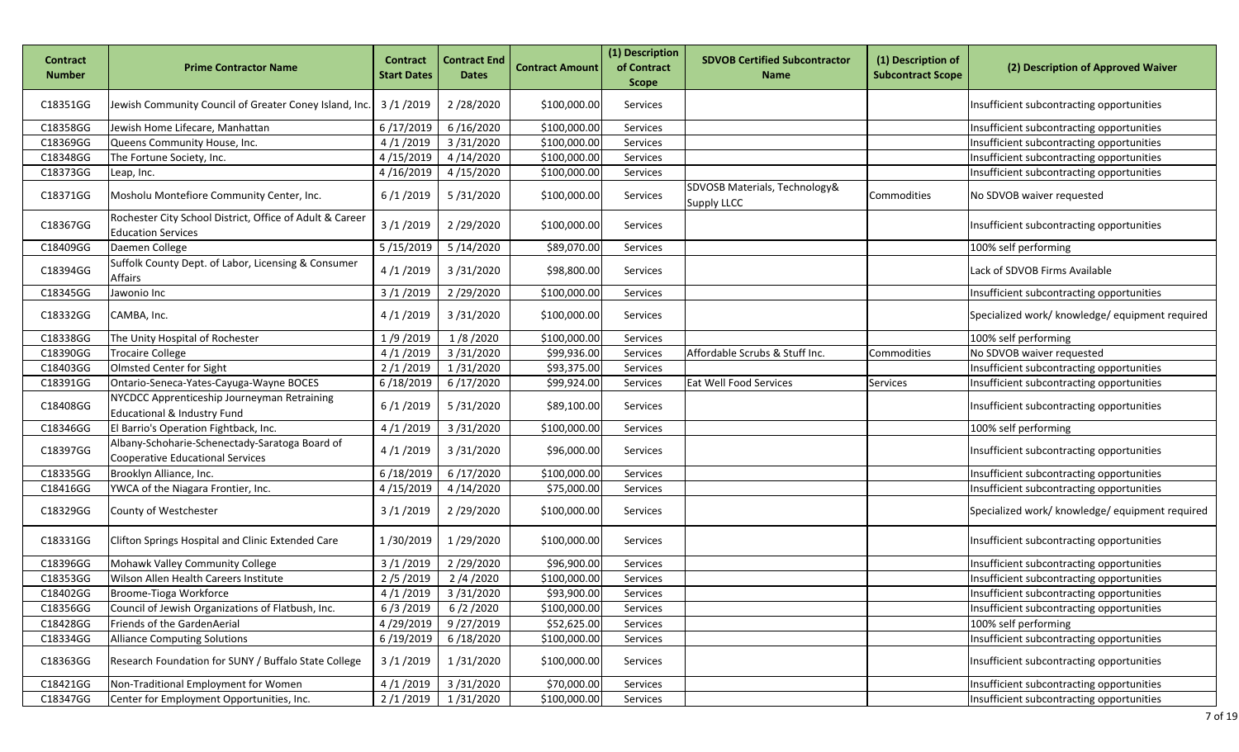| Contract<br><b>Number</b> | Prime Contractor Name                                                                     | <b>Contract</b><br><b>Start Dates</b> | <b>Contract End</b><br><b>Dates</b> | <b>Contract Amount</b> | (1) Description<br>of Contract | <b>SDVOB Certified Subcontractor</b><br><b>Name</b> | (1) Description of<br><b>Subcontract Scope</b> | (2) Description of Approved Waiver              |
|---------------------------|-------------------------------------------------------------------------------------------|---------------------------------------|-------------------------------------|------------------------|--------------------------------|-----------------------------------------------------|------------------------------------------------|-------------------------------------------------|
|                           |                                                                                           |                                       |                                     |                        | <b>Scope</b>                   |                                                     |                                                |                                                 |
| C18351GG                  | Jewish Community Council of Greater Coney Island, Inc.                                    | 3/1/2019                              | 2/28/2020                           | \$100,000.00           | Services                       |                                                     |                                                | Insufficient subcontracting opportunities       |
| C18358GG                  | Jewish Home Lifecare, Manhattan                                                           | 6/17/2019                             | 6/16/2020                           | \$100,000.00           | Services                       |                                                     |                                                | Insufficient subcontracting opportunities       |
| C18369GG                  | Queens Community House, Inc.                                                              | 4/1/2019                              | 3/31/2020                           | \$100,000.00           | Services                       |                                                     |                                                | Insufficient subcontracting opportunities       |
| C18348GG                  | The Fortune Society, Inc.                                                                 | 4/15/2019                             | 4/14/2020                           | \$100,000.00           | Services                       |                                                     |                                                | Insufficient subcontracting opportunities       |
| C18373GG                  | Leap, Inc.                                                                                | 4/16/2019                             | 4/15/2020                           | \$100,000.00           | Services                       |                                                     |                                                | Insufficient subcontracting opportunities       |
| C18371GG                  | Mosholu Montefiore Community Center, Inc.                                                 | 6/1/2019                              | 5/31/2020                           | \$100,000.00           | Services                       | SDVOSB Materials, Technology&<br><b>Supply LLCC</b> | Commodities                                    | No SDVOB waiver requested                       |
| C18367GG                  | Rochester City School District, Office of Adult & Career<br><b>Education Services</b>     | 3/1/2019                              | 2/29/2020                           | \$100,000.00           | Services                       |                                                     |                                                | Insufficient subcontracting opportunities       |
| C18409GG                  | Daemen College                                                                            | 5/15/2019                             | 5/14/2020                           | \$89,070.00            | Services                       |                                                     |                                                | 100% self performing                            |
| C18394GG                  | Suffolk County Dept. of Labor, Licensing & Consumer<br><b>Affairs</b>                     | 4/1/2019                              | 3/31/2020                           | \$98,800.00            | Services                       |                                                     |                                                | Lack of SDVOB Firms Available                   |
| C18345GG                  | Jawonio Inc                                                                               | 3/1/2019                              | 2/29/2020                           | \$100,000.00           | Services                       |                                                     |                                                | Insufficient subcontracting opportunities       |
| C18332GG                  | CAMBA, Inc.                                                                               | 4/1/2019                              | 3/31/2020                           | \$100,000.00           | Services                       |                                                     |                                                | Specialized work/ knowledge/ equipment required |
| C18338GG                  | The Unity Hospital of Rochester                                                           | 1/9/2019                              | 1/8/2020                            | \$100,000.00           | Services                       |                                                     |                                                | 100% self performing                            |
| C18390GG                  | <b>Trocaire College</b>                                                                   | 4/1/2019                              | 3/31/2020                           | \$99,936.00            | Services                       | Affordable Scrubs & Stuff Inc.                      | Commodities                                    | No SDVOB waiver requested                       |
| C18403GG                  | Olmsted Center for Sight                                                                  | 2/1/2019                              | 1/31/2020                           | \$93,375.00            | Services                       |                                                     |                                                | Insufficient subcontracting opportunities       |
| C18391GG                  | Ontario-Seneca-Yates-Cayuga-Wayne BOCES                                                   | 6/18/2019                             | 6/17/2020                           | \$99,924.00            | Services                       | <b>Eat Well Food Services</b>                       | Services                                       | Insufficient subcontracting opportunities       |
| C18408GG                  | NYCDCC Apprenticeship Journeyman Retraining<br>Educational & Industry Fund                | 6/1/2019                              | 5/31/2020                           | \$89,100.00            | Services                       |                                                     |                                                | Insufficient subcontracting opportunities       |
| C18346GG                  | El Barrio's Operation Fightback, Inc.                                                     | 4/1/2019                              | 3/31/2020                           | \$100,000.00           | Services                       |                                                     |                                                | 100% self performing                            |
| C18397GG                  | Albany-Schoharie-Schenectady-Saratoga Board of<br><b>Cooperative Educational Services</b> | 4/1/2019                              | 3/31/2020                           | \$96,000.00            | Services                       |                                                     |                                                | Insufficient subcontracting opportunities       |
| C18335GG                  | Brooklyn Alliance, Inc.                                                                   | 6/18/2019                             | 6/17/2020                           | \$100,000.00           | Services                       |                                                     |                                                | Insufficient subcontracting opportunities       |
| C18416GG                  | YWCA of the Niagara Frontier, Inc.                                                        | 4/15/2019                             | 4/14/2020                           | \$75,000.00            | Services                       |                                                     |                                                | Insufficient subcontracting opportunities       |
| C18329GG                  | County of Westchester                                                                     | 3/1/2019                              | 2/29/2020                           | \$100,000.00           | Services                       |                                                     |                                                | Specialized work/ knowledge/ equipment required |
| C18331GG                  | Clifton Springs Hospital and Clinic Extended Care                                         | 1/30/2019                             | 1/29/2020                           | \$100,000.00           | Services                       |                                                     |                                                | Insufficient subcontracting opportunities       |
| C18396GG                  | Mohawk Valley Community College                                                           | 3/1/2019                              | 2/29/2020                           | \$96,900.00            | Services                       |                                                     |                                                | Insufficient subcontracting opportunities       |
| C18353GG                  | Wilson Allen Health Careers Institute                                                     | 2/5/2019                              | 2/4/2020                            | \$100,000.00           | Services                       |                                                     |                                                | Insufficient subcontracting opportunities       |
| C18402GG                  | Broome-Tioga Workforce                                                                    | 4/1/2019                              | 3/31/2020                           | \$93,900.00            | Services                       |                                                     |                                                | Insufficient subcontracting opportunities       |
| C18356GG                  | Council of Jewish Organizations of Flatbush, Inc.                                         | 6/3/2019                              | 6/2/2020                            | \$100,000.00           | Services                       |                                                     |                                                | Insufficient subcontracting opportunities       |
| C18428GG                  | Friends of the GardenAerial                                                               | 4/29/2019                             | 9/27/2019                           | \$52,625.00            | Services                       |                                                     |                                                | 100% self performing                            |
| C18334GG                  | <b>Alliance Computing Solutions</b>                                                       | 6/19/2019                             | 6/18/2020                           | \$100,000.00           | Services                       |                                                     |                                                | Insufficient subcontracting opportunities       |
| C18363GG                  | Research Foundation for SUNY / Buffalo State College                                      | 3/1/2019                              | 1/31/2020                           | \$100,000.00           | Services                       |                                                     |                                                | Insufficient subcontracting opportunities       |
| C18421GG                  | Non-Traditional Employment for Women                                                      | 4/1/2019                              | $\sqrt{3}/31/2020$                  | \$70,000.00            | Services                       |                                                     |                                                | Insufficient subcontracting opportunities       |
| C18347GG                  | Center for Employment Opportunities, Inc.                                                 | 2/1/2019                              | 1/31/2020                           | \$100,000.00           | Services                       |                                                     |                                                | Insufficient subcontracting opportunities       |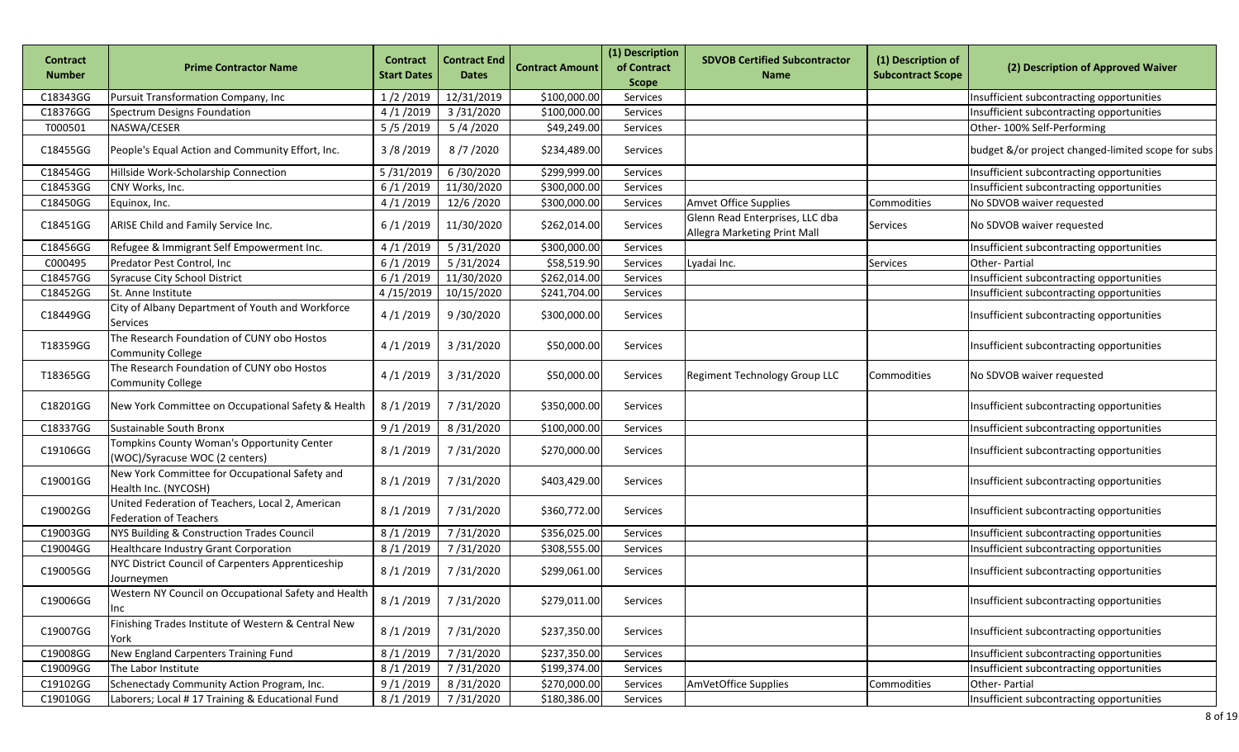| <b>Contract</b> | <b>Prime Contractor Name</b>                                                      | <b>Contract</b>    | <b>Contract End</b> | <b>Contract Amount</b> | (1) Description<br>of Contract | <b>SDVOB Certified Subcontractor</b>                            | (1) Description of       | (2) Description of Approved Waiver                 |
|-----------------|-----------------------------------------------------------------------------------|--------------------|---------------------|------------------------|--------------------------------|-----------------------------------------------------------------|--------------------------|----------------------------------------------------|
| <b>Number</b>   |                                                                                   | <b>Start Dates</b> | <b>Dates</b>        |                        | <b>Scope</b>                   | <b>Name</b>                                                     | <b>Subcontract Scope</b> |                                                    |
| C18343GG        | Pursuit Transformation Company, Inc                                               | 1/2/2019           | 12/31/2019          | \$100,000.00           | Services                       |                                                                 |                          | Insufficient subcontracting opportunities          |
| C18376GG        | Spectrum Designs Foundation                                                       | 4/1/2019           | 3/31/2020           | \$100,000.00           | Services                       |                                                                 |                          | Insufficient subcontracting opportunities          |
| T000501         | NASWA/CESER                                                                       | 5/5/2019           | 5/4/2020            | \$49,249.00            | Services                       |                                                                 |                          | Other-100% Self-Performing                         |
| C18455GG        | People's Equal Action and Community Effort, Inc.                                  | 3/8/2019           | 8/7/2020            | \$234,489.00           | <b>Services</b>                |                                                                 |                          | budget &/or project changed-limited scope for subs |
| C18454GG        | Hillside Work-Scholarship Connection                                              | 5/31/2019          | 6/30/2020           | \$299,999.00           | Services                       |                                                                 |                          | Insufficient subcontracting opportunities          |
| C18453GG        | CNY Works, Inc.                                                                   | 6/1/2019           | 11/30/2020          | \$300,000.00           | Services                       |                                                                 |                          | Insufficient subcontracting opportunities          |
| C18450GG        | Equinox, Inc.                                                                     | 4/1/2019           | 12/6/2020           | \$300,000.00           | Services                       | Amvet Office Supplies                                           | Commodities              | No SDVOB waiver requested                          |
| C18451GG        | ARISE Child and Family Service Inc.                                               | 6/1/2019           | 11/30/2020          | \$262,014.00           | Services                       | Glenn Read Enterprises, LLC dba<br>Allegra Marketing Print Mall | Services                 | No SDVOB waiver requested                          |
| C18456GG        | Refugee & Immigrant Self Empowerment Inc.                                         | 4/1/2019           | 5/31/2020           | \$300,000.00           | Services                       |                                                                 |                          | Insufficient subcontracting opportunities          |
| C000495         | Predator Pest Control, Inc                                                        | 6/1/2019           | 5/31/2024           | \$58,519.90            | Services                       | Lyadai Inc.                                                     | Services                 | Other-Partial                                      |
| C18457GG        | <b>Syracuse City School District</b>                                              | 6/1/2019           | 11/30/2020          | \$262,014.00           | Services                       |                                                                 |                          | Insufficient subcontracting opportunities          |
| C18452GG        | St. Anne Institute                                                                | 4/15/2019          | 10/15/2020          | \$241,704.00           | Services                       |                                                                 |                          | Insufficient subcontracting opportunities          |
| C18449GG        | City of Albany Department of Youth and Workforce<br>Services                      | 4/1/2019           | 9/30/2020           | \$300,000.00           | Services                       |                                                                 |                          | Insufficient subcontracting opportunities          |
| T18359GG        | The Research Foundation of CUNY obo Hostos<br><b>Community College</b>            | 4/1/2019           | 3/31/2020           | \$50,000.00            | Services                       |                                                                 |                          | Insufficient subcontracting opportunities          |
| T18365GG        | The Research Foundation of CUNY obo Hostos<br><b>Community College</b>            | 4/1/2019           | 3/31/2020           | \$50,000.00            | Services                       | Regiment Technology Group LLC                                   | Commodities              | No SDVOB waiver requested                          |
| C18201GG        | New York Committee on Occupational Safety & Health                                | 8/1/2019           | 7/31/2020           | \$350,000.00           | <b>Services</b>                |                                                                 |                          | Insufficient subcontracting opportunities          |
| C18337GG        | Sustainable South Bronx                                                           | 9/1/2019           | 8/31/2020           | \$100,000.00           | Services                       |                                                                 |                          | Insufficient subcontracting opportunities          |
| C19106GG        | Tompkins County Woman's Opportunity Center<br>(WOC)/Syracuse WOC (2 centers)      | 8/1/2019           | 7/31/2020           | \$270,000.00           | Services                       |                                                                 |                          | Insufficient subcontracting opportunities          |
| C19001GG        | New York Committee for Occupational Safety and<br>Health Inc. (NYCOSH)            | 8/1/2019           | 7/31/2020           | \$403,429.00           | Services                       |                                                                 |                          | Insufficient subcontracting opportunities          |
| C19002GG        | United Federation of Teachers, Local 2, American<br><b>Federation of Teachers</b> | 8/1/2019           | 7/31/2020           | \$360,772.00           | Services                       |                                                                 |                          | Insufficient subcontracting opportunities          |
| C19003GG        | NYS Building & Construction Trades Council                                        | 8/1/2019           | 7/31/2020           | \$356,025.00           | Services                       |                                                                 |                          | Insufficient subcontracting opportunities          |
| C19004GG        | <b>Healthcare Industry Grant Corporation</b>                                      | 8/1/2019           | 7/31/2020           | \$308,555.00           | Services                       |                                                                 |                          | Insufficient subcontracting opportunities          |
| C19005GG        | NYC District Council of Carpenters Apprenticeship<br>Journeymen                   | 8/1/2019           | 7/31/2020           | \$299,061.00           | Services                       |                                                                 |                          | Insufficient subcontracting opportunities          |
| C19006GG        | Western NY Council on Occupational Safety and Health<br>Inc                       | 8/1/2019           | 7/31/2020           | \$279,011.00           | Services                       |                                                                 |                          | Insufficient subcontracting opportunities          |
| C19007GG        | Finishing Trades Institute of Western & Central New<br>York                       | 8/1/2019           | 7/31/2020           | \$237,350.00           | Services                       |                                                                 |                          | Insufficient subcontracting opportunities          |
| C19008GG        | New England Carpenters Training Fund                                              | 8/1/2019           | 7/31/2020           | \$237,350.00           | Services                       |                                                                 |                          | Insufficient subcontracting opportunities          |
| C19009GG        | The Labor Institute                                                               | 8/1/2019           | 7/31/2020           | \$199,374.00           | Services                       |                                                                 |                          | Insufficient subcontracting opportunities          |
| C19102GG        | Schenectady Community Action Program, Inc.                                        | 9/1/2019           | 8/31/2020           | \$270,000.00           | Services                       | AmVetOffice Supplies                                            | Commodities              | Other-Partial                                      |
| C19010GG        | Laborers; Local # 17 Training & Educational Fund                                  | 8/1/2019           | 7/31/2020           | \$180,386.00           | Services                       |                                                                 |                          | Insufficient subcontracting opportunities          |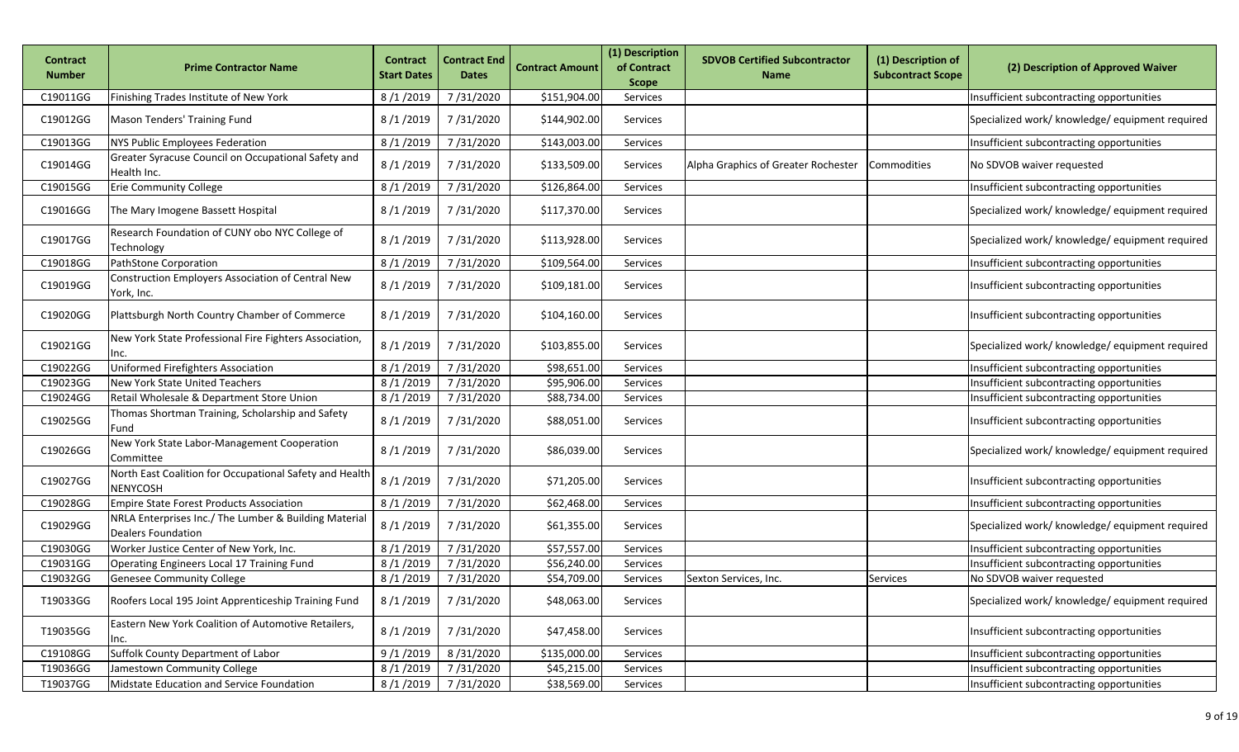| <b>Contract</b><br><b>Number</b> | <b>Prime Contractor Name</b>                                                       | <b>Contract</b><br><b>Start Dates</b> | <b>Contract End</b><br><b>Dates</b> | <b>Contract Amount</b> | (1) Description<br>of Contract<br><b>Scope</b> | <b>SDVOB Certified Subcontractor</b><br><b>Name</b> | (1) Description of<br><b>Subcontract Scope</b> | (2) Description of Approved Waiver              |
|----------------------------------|------------------------------------------------------------------------------------|---------------------------------------|-------------------------------------|------------------------|------------------------------------------------|-----------------------------------------------------|------------------------------------------------|-------------------------------------------------|
| C19011GG                         | Finishing Trades Institute of New York                                             | 8/1/2019                              | 7/31/2020                           | \$151,904.00           | Services                                       |                                                     |                                                | Insufficient subcontracting opportunities       |
| C19012GG                         | Mason Tenders' Training Fund                                                       | 8/1/2019                              | 7/31/2020                           | \$144,902.00           | Services                                       |                                                     |                                                | Specialized work/ knowledge/ equipment required |
| C19013GG                         | <b>NYS Public Employees Federation</b>                                             | 8/1/2019                              | 7/31/2020                           | \$143,003.00           | Services                                       |                                                     |                                                | Insufficient subcontracting opportunities       |
| C19014GG                         | Greater Syracuse Council on Occupational Safety and<br>Health Inc.                 | 8/1/2019                              | 7/31/2020                           | \$133,509.00           | Services                                       | Alpha Graphics of Greater Rochester                 | Commodities                                    | No SDVOB waiver requested                       |
| C19015GG                         | <b>Erie Community College</b>                                                      | 8/1/2019                              | 7/31/2020                           | \$126,864.00           | Services                                       |                                                     |                                                | Insufficient subcontracting opportunities       |
| C19016GG                         | The Mary Imogene Bassett Hospital                                                  | 8/1/2019                              | 7/31/2020                           | \$117,370.00           | Services                                       |                                                     |                                                | Specialized work/ knowledge/ equipment required |
| C19017GG                         | Research Foundation of CUNY obo NYC College of<br>Technology                       | 8/1/2019                              | 7/31/2020                           | \$113,928.00           | Services                                       |                                                     |                                                | Specialized work/ knowledge/ equipment required |
| C19018GG                         | PathStone Corporation                                                              | 8/1/2019                              | 7/31/2020                           | \$109,564.00           | Services                                       |                                                     |                                                | Insufficient subcontracting opportunities       |
| C19019GG                         | Construction Employers Association of Central New<br>York, Inc.                    | 8/1/2019                              | 7/31/2020                           | \$109,181.00           | Services                                       |                                                     |                                                | Insufficient subcontracting opportunities       |
| C19020GG                         | Plattsburgh North Country Chamber of Commerce                                      | 8/1/2019                              | 7/31/2020                           | \$104,160.00           | Services                                       |                                                     |                                                | Insufficient subcontracting opportunities       |
| C19021GG                         | New York State Professional Fire Fighters Association,<br>Inc.                     | 8/1/2019                              | 7/31/2020                           | \$103,855.00           | Services                                       |                                                     |                                                | Specialized work/ knowledge/ equipment required |
| C19022GG                         | Uniformed Firefighters Association                                                 | 8/1/2019                              | 7/31/2020                           | \$98,651.00            | Services                                       |                                                     |                                                | Insufficient subcontracting opportunities       |
| C19023GG                         | New York State United Teachers                                                     | 8/1/2019                              | 7/31/2020                           | \$95,906.00            | Services                                       |                                                     |                                                | Insufficient subcontracting opportunities       |
| C19024GG                         | Retail Wholesale & Department Store Union                                          | 8/1/2019                              | 7/31/2020                           | \$88,734.00            | Services                                       |                                                     |                                                | Insufficient subcontracting opportunities       |
| C19025GG                         | Thomas Shortman Training, Scholarship and Safety<br>Fund                           | 8/1/2019                              | 7/31/2020                           | \$88,051.00            | Services                                       |                                                     |                                                | Insufficient subcontracting opportunities       |
| C19026GG                         | New York State Labor-Management Cooperation<br>Committee                           | 8/1/2019                              | 7/31/2020                           | \$86,039.00            | Services                                       |                                                     |                                                | Specialized work/ knowledge/ equipment required |
| C19027GG                         | North East Coalition for Occupational Safety and Health<br><b>NENYCOSH</b>         | 8/1/2019                              | 7/31/2020                           | \$71,205.00            | Services                                       |                                                     |                                                | Insufficient subcontracting opportunities       |
| C19028GG                         | Empire State Forest Products Association                                           | 8/1/2019                              | 7/31/2020                           | \$62,468.00            | Services                                       |                                                     |                                                | Insufficient subcontracting opportunities       |
| C19029GG                         | NRLA Enterprises Inc./ The Lumber & Building Material<br><b>Dealers Foundation</b> | 8/1/2019                              | 7/31/2020                           | \$61,355.00            | Services                                       |                                                     |                                                | Specialized work/ knowledge/ equipment required |
| C19030GG                         | Worker Justice Center of New York, Inc.                                            | 8/1/2019                              | 7/31/2020                           | \$57,557.00            | Services                                       |                                                     |                                                | Insufficient subcontracting opportunities       |
| C19031GG                         | Operating Engineers Local 17 Training Fund                                         | 8/1/2019                              | 7/31/2020                           | \$56,240.00            | Services                                       |                                                     |                                                | Insufficient subcontracting opportunities       |
| C19032GG                         | <b>Genesee Community College</b>                                                   | 8/1/2019                              | 7/31/2020                           | \$54,709.00            | Services                                       | Sexton Services, Inc.                               | Services                                       | No SDVOB waiver requested                       |
| T19033GG                         | Roofers Local 195 Joint Apprenticeship Training Fund                               | 8/1/2019                              | 7/31/2020                           | \$48,063.00            | Services                                       |                                                     |                                                | Specialized work/ knowledge/ equipment required |
| T19035GG                         | Eastern New York Coalition of Automotive Retailers,<br>Inc.                        | 8/1/2019                              | 7/31/2020                           | \$47,458.00            | Services                                       |                                                     |                                                | Insufficient subcontracting opportunities       |
| C19108GG                         | Suffolk County Department of Labor                                                 | 9/1/2019                              | 8/31/2020                           | \$135,000.00           | Services                                       |                                                     |                                                | Insufficient subcontracting opportunities       |
| T19036GG                         | Jamestown Community College                                                        | 8/1/2019                              | 7/31/2020                           | \$45,215.00            | Services                                       |                                                     |                                                | Insufficient subcontracting opportunities       |
| T19037GG                         | Midstate Education and Service Foundation                                          | 8/1/2019                              | 7/31/2020                           | \$38,569.00            | Services                                       |                                                     |                                                | Insufficient subcontracting opportunities       |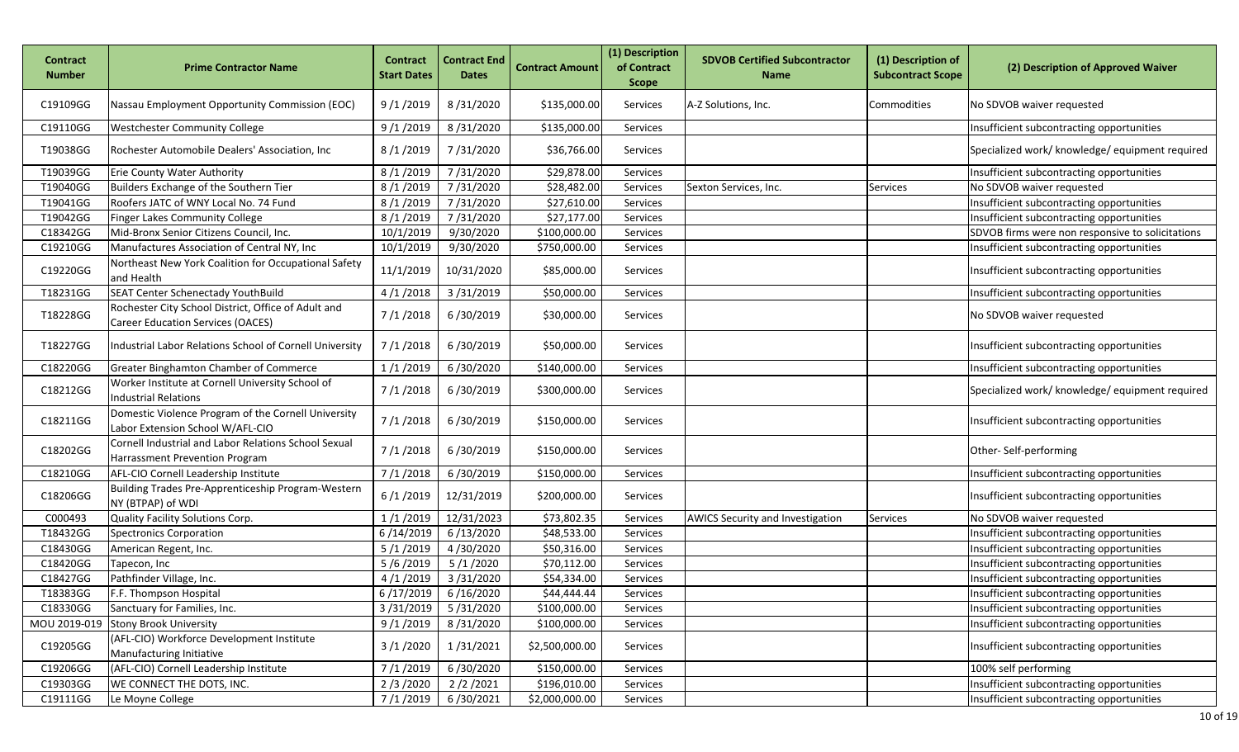| Contract<br><b>Number</b> | Prime Contractor Name                                                                    | <b>Contract</b><br><b>Start Dates</b> | <b>Contract End</b><br><b>Dates</b> | <b>Contract Amount</b> | (1) Description<br>of Contract<br><b>Scope</b> | <b>SDVOB Certified Subcontractor</b><br><b>Name</b> | (1) Description of<br><b>Subcontract Scope</b> | (2) Description of Approved Waiver               |
|---------------------------|------------------------------------------------------------------------------------------|---------------------------------------|-------------------------------------|------------------------|------------------------------------------------|-----------------------------------------------------|------------------------------------------------|--------------------------------------------------|
| C19109GG                  | Nassau Employment Opportunity Commission (EOC)                                           | 9/1/2019                              | 8/31/2020                           | \$135,000.00           | Services                                       | A-Z Solutions, Inc.                                 | Commodities                                    | No SDVOB waiver requested                        |
| C19110GG                  | <b>Westchester Community College</b>                                                     | 9/1/2019                              | 8/31/2020                           | \$135,000.00           | Services                                       |                                                     |                                                | Insufficient subcontracting opportunities        |
| T19038GG                  | Rochester Automobile Dealers' Association, Inc.                                          | 8/1/2019                              | 7/31/2020                           | \$36,766.00            | Services                                       |                                                     |                                                | Specialized work/ knowledge/ equipment required  |
| T19039GG                  | Erie County Water Authority                                                              | 8/1/2019                              | 7/31/2020                           | \$29,878.00            | Services                                       |                                                     |                                                | Insufficient subcontracting opportunities        |
| T19040GG                  | Builders Exchange of the Southern Tier                                                   | 8/1/2019                              | 7/31/2020                           | \$28,482.00            | Services                                       | Sexton Services, Inc.                               | <b>Services</b>                                | No SDVOB waiver requested                        |
| T19041GG                  | Roofers JATC of WNY Local No. 74 Fund                                                    | 8/1/2019                              | 7/31/2020                           | \$27,610.00            | Services                                       |                                                     |                                                | Insufficient subcontracting opportunities        |
| T19042GG                  | Finger Lakes Community College                                                           | 8/1/2019                              | 7/31/2020                           | \$27,177.00            | Services                                       |                                                     |                                                | Insufficient subcontracting opportunities        |
| C18342GG                  | Mid-Bronx Senior Citizens Council, Inc.                                                  | 10/1/2019                             | 9/30/2020                           | \$100,000.00           | Services                                       |                                                     |                                                | SDVOB firms were non responsive to solicitations |
| C19210GG                  | Manufactures Association of Central NY, Inc                                              | 10/1/2019                             | 9/30/2020                           | \$750,000.00           | Services                                       |                                                     |                                                | Insufficient subcontracting opportunities        |
| C19220GG                  | Northeast New York Coalition for Occupational Safety<br>and Health                       | 11/1/2019                             | 10/31/2020                          | \$85,000.00            | Services                                       |                                                     |                                                | Insufficient subcontracting opportunities        |
| T18231GG                  | SEAT Center Schenectady YouthBuild                                                       | 4/1/2018                              | 3/31/2019                           | \$50,000.00            | Services                                       |                                                     |                                                | Insufficient subcontracting opportunities        |
| T18228GG                  | Rochester City School District, Office of Adult and<br>Career Education Services (OACES) | 7/1/2018                              | 6/30/2019                           | \$30,000.00            | Services                                       |                                                     |                                                | No SDVOB waiver requested                        |
| T18227GG                  | Industrial Labor Relations School of Cornell University                                  | 7/1/2018                              | 6/30/2019                           | \$50,000.00            | Services                                       |                                                     |                                                | Insufficient subcontracting opportunities        |
| C18220GG                  | Greater Binghamton Chamber of Commerce                                                   | 1/1/2019                              | 6/30/2020                           | \$140,000.00           | Services                                       |                                                     |                                                | Insufficient subcontracting opportunities        |
| C18212GG                  | Worker Institute at Cornell University School of<br><b>Industrial Relations</b>          | 7/1/2018                              | 6/30/2019                           | \$300,000.00           | Services                                       |                                                     |                                                | Specialized work/ knowledge/ equipment required  |
| C18211GG                  | Domestic Violence Program of the Cornell University<br>Labor Extension School W/AFL-CIO  | 7/1/2018                              | 6/30/2019                           | \$150,000.00           | Services                                       |                                                     |                                                | Insufficient subcontracting opportunities        |
| C18202GG                  | Cornell Industrial and Labor Relations School Sexual<br>Harrassment Prevention Program   | 7/1/2018                              | 6/30/2019                           | \$150,000.00           | Services                                       |                                                     |                                                | Other-Self-performing                            |
| C18210GG                  | AFL-CIO Cornell Leadership Institute                                                     | 7/1/2018                              | 6/30/2019                           | \$150,000.00           | Services                                       |                                                     |                                                | Insufficient subcontracting opportunities        |
| C18206GG                  | Building Trades Pre-Apprenticeship Program-Western<br>NY (BTPAP) of WDI                  | 6/1/2019                              | 12/31/2019                          | \$200,000.00           | Services                                       |                                                     |                                                | Insufficient subcontracting opportunities        |
| C000493                   | Quality Facility Solutions Corp.                                                         | 1/1/2019                              | 12/31/2023                          | \$73,802.35            | Services                                       | <b>AWICS Security and Investigation</b>             | Services                                       | No SDVOB waiver requested                        |
| T18432GG                  | <b>Spectronics Corporation</b>                                                           | 6/14/2019                             | 6/13/2020                           | \$48,533.00            | Services                                       |                                                     |                                                | Insufficient subcontracting opportunities        |
| C18430GG                  | American Regent, Inc.                                                                    | 5/1/2019                              | 4/30/2020                           | \$50,316.00            | Services                                       |                                                     |                                                | Insufficient subcontracting opportunities        |
| C18420GG                  | Tapecon, Inc                                                                             | 5/6/2019                              | 5/1/2020                            | \$70,112.00            | Services                                       |                                                     |                                                | Insufficient subcontracting opportunities        |
| C18427GG                  | Pathfinder Village, Inc.                                                                 | 4/1/2019                              | 3/31/2020                           | \$54,334.00            | Services                                       |                                                     |                                                | Insufficient subcontracting opportunities        |
| T18383GG                  | F.F. Thompson Hospital                                                                   |                                       | $6/17/2019$ 6/16/2020               | \$44,444.44            | Services                                       |                                                     |                                                | Insufficient subcontracting opportunities        |
| C18330GG                  | Sanctuary for Families, Inc.                                                             |                                       | 3/31/2019 5/31/2020                 | \$100,000.00           | Services                                       |                                                     |                                                | Insufficient subcontracting opportunities        |
| MOU 2019-019              | <b>Stony Brook University</b>                                                            | 9/1/2019                              | 8/31/2020                           | \$100,000.00           | Services                                       |                                                     |                                                | Insufficient subcontracting opportunities        |
| C19205GG                  | (AFL-CIO) Workforce Development Institute<br>Manufacturing Initiative                    | 3/1/2020                              | 1/31/2021                           | \$2,500,000.00         | Services                                       |                                                     |                                                | Insufficient subcontracting opportunities        |
| C19206GG                  | (AFL-CIO) Cornell Leadership Institute                                                   | 7/1/2019                              | 6/30/2020                           | \$150,000.00           | Services                                       |                                                     |                                                | 100% self performing                             |
| C19303GG                  | WE CONNECT THE DOTS, INC.                                                                | 2/3/2020                              | 2/2/2021                            | \$196,010.00           | Services                                       |                                                     |                                                | Insufficient subcontracting opportunities        |
| C19111GG                  | Le Moyne College                                                                         | 7/1/2019                              | 6/30/2021                           | \$2,000,000.00         | Services                                       |                                                     |                                                | Insufficient subcontracting opportunities        |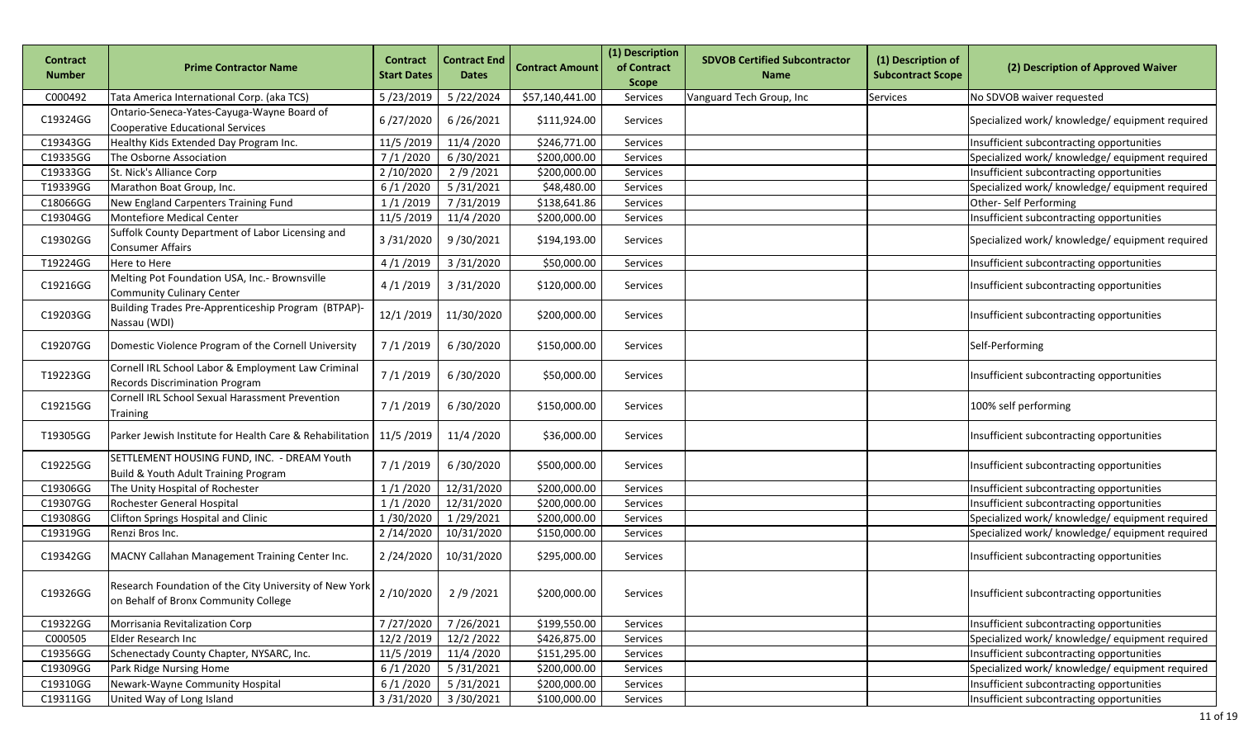| <b>Contract</b><br><b>Number</b> | <b>Prime Contractor Name</b>                                                                                                      | <b>Contract</b><br><b>Start Dates</b> | <b>Contract End</b><br><b>Dates</b> | <b>Contract Amount</b> | (1) Description<br>of Contract<br><b>Scope</b> | <b>SDVOB Certified Subcontractor</b><br><b>Name</b> | (1) Description of<br><b>Subcontract Scope</b> | (2) Description of Approved Waiver              |
|----------------------------------|-----------------------------------------------------------------------------------------------------------------------------------|---------------------------------------|-------------------------------------|------------------------|------------------------------------------------|-----------------------------------------------------|------------------------------------------------|-------------------------------------------------|
| C000492                          | Tata America International Corp. (aka TCS)                                                                                        | 5/23/2019                             | 5/22/2024                           | \$57,140,441.00        | Services                                       | Vanguard Tech Group, Inc                            | Services                                       | No SDVOB waiver requested                       |
| C19324GG                         | Ontario-Seneca-Yates-Cayuga-Wayne Board of<br>Cooperative Educational Services                                                    | 6/27/2020                             | 6/26/2021                           | \$111,924.00           | Services                                       |                                                     |                                                | Specialized work/ knowledge/ equipment required |
| C19343GG                         | Healthy Kids Extended Day Program Inc.                                                                                            | 11/5/2019                             | 11/4/2020                           | \$246,771.00           | Services                                       |                                                     |                                                | Insufficient subcontracting opportunities       |
| C19335GG                         | The Osborne Association                                                                                                           | 7/1/2020                              | 6/30/2021                           | \$200,000.00           | Services                                       |                                                     |                                                | Specialized work/ knowledge/ equipment required |
| C19333GG                         | St. Nick's Alliance Corp                                                                                                          | 2/10/2020                             | 2/9/2021                            | \$200,000.00           | Services                                       |                                                     |                                                | Insufficient subcontracting opportunities       |
| T19339GG                         | Marathon Boat Group, Inc.                                                                                                         | 6/1/2020                              | 5/31/2021                           | \$48,480.00            | Services                                       |                                                     |                                                | Specialized work/ knowledge/ equipment required |
| C18066GG                         | New England Carpenters Training Fund                                                                                              | 1/1/2019                              | 7/31/2019                           | \$138,641.86           | Services                                       |                                                     |                                                | Other-Self Performing                           |
| C19304GG                         | Montefiore Medical Center                                                                                                         | 11/5/2019                             | 11/4/2020                           | \$200,000.00           | Services                                       |                                                     |                                                | Insufficient subcontracting opportunities       |
| C19302GG                         | Suffolk County Department of Labor Licensing and<br>Consumer Affairs                                                              | 3/31/2020                             | 9/30/2021                           | \$194,193.00           | Services                                       |                                                     |                                                | Specialized work/ knowledge/ equipment required |
| T19224GG                         | Here to Here                                                                                                                      | 4/1/2019                              | 3/31/2020                           | \$50,000.00            | Services                                       |                                                     |                                                | Insufficient subcontracting opportunities       |
| C19216GG                         | Melting Pot Foundation USA, Inc.- Brownsville<br><b>Community Culinary Center</b>                                                 | 4/1/2019                              | 3/31/2020                           | \$120,000.00           | Services                                       |                                                     |                                                | Insufficient subcontracting opportunities       |
| C19203GG                         | Building Trades Pre-Apprenticeship Program (BTPAP)-<br>Nassau (WDI)                                                               | 12/1/2019                             | 11/30/2020                          | \$200,000.00           | Services                                       |                                                     |                                                | Insufficient subcontracting opportunities       |
| C19207GG                         | Domestic Violence Program of the Cornell University                                                                               | 7/1/2019                              | 6/30/2020                           | \$150,000.00           | Services                                       |                                                     |                                                | Self-Performing                                 |
| T19223GG                         | Cornell IRL School Labor & Employment Law Criminal<br>Records Discrimination Program                                              | 7/1/2019                              | 6/30/2020                           | \$50,000.00            | Services                                       |                                                     |                                                | Insufficient subcontracting opportunities       |
| C19215GG                         | <b>Cornell IRL School Sexual Harassment Prevention</b><br><b>Training</b>                                                         | 7/1/2019                              | 6/30/2020                           | \$150,000.00           | Services                                       |                                                     |                                                | 100% self performing                            |
| T19305GG                         | Parker Jewish Institute for Health Care & Rehabilitation                                                                          | 11/5/2019                             | 11/4/2020                           | \$36,000.00            | Services                                       |                                                     |                                                | Insufficient subcontracting opportunities       |
| C19225GG                         | SETTLEMENT HOUSING FUND, INC. - DREAM Youth<br>Build & Youth Adult Training Program                                               | 7/1/2019                              | 6/30/2020                           | \$500,000.00           | Services                                       |                                                     |                                                | Insufficient subcontracting opportunities       |
| C19306GG                         | The Unity Hospital of Rochester                                                                                                   | 1/1/2020                              | 12/31/2020                          | \$200,000.00           | Services                                       |                                                     |                                                | Insufficient subcontracting opportunities       |
| C19307GG                         | Rochester General Hospital                                                                                                        | 1/1/2020                              | 12/31/2020                          | \$200,000.00           | Services                                       |                                                     |                                                | Insufficient subcontracting opportunities       |
| C19308GG                         | Clifton Springs Hospital and Clinic                                                                                               | 1/30/2020                             | 1/29/2021                           | \$200,000.00           | Services                                       |                                                     |                                                | Specialized work/ knowledge/ equipment required |
| C19319GG                         | Renzi Bros Inc.                                                                                                                   | 2/14/2020                             | 10/31/2020                          | \$150,000.00           | Services                                       |                                                     |                                                | Specialized work/ knowledge/ equipment required |
| C19342GG                         | MACNY Callahan Management Training Center Inc.                                                                                    | 2/24/2020                             | 10/31/2020                          | \$295,000.00           | Services                                       |                                                     |                                                | Insufficient subcontracting opportunities       |
| C19326GG                         | Research Foundation of the City University of New York $\vert$ 2/10/2020 $\vert$ 2/9/2021<br>on Behalf of Bronx Community College |                                       |                                     | \$200,000.00           | Services                                       |                                                     |                                                | Insufficient subcontracting opportunities       |
| C19322GG                         | Morrisania Revitalization Corp                                                                                                    | 7/27/2020                             | 7/26/2021                           | \$199,550.00           | Services                                       |                                                     |                                                | Insufficient subcontracting opportunities       |
| C000505                          | Elder Research Inc                                                                                                                | 12/2/2019                             | 12/2/2022                           | \$426,875.00           | Services                                       |                                                     |                                                | Specialized work/ knowledge/ equipment required |
| C19356GG                         | Schenectady County Chapter, NYSARC, Inc.                                                                                          | 11/5/2019                             | 11/4/2020                           | \$151,295.00           | Services                                       |                                                     |                                                | Insufficient subcontracting opportunities       |
| C19309GG                         | Park Ridge Nursing Home                                                                                                           | 6/1/2020                              | 5/31/2021                           | \$200,000.00           | Services                                       |                                                     |                                                | Specialized work/ knowledge/ equipment required |
| C19310GG                         | Newark-Wayne Community Hospital                                                                                                   | 6/1/2020                              | 5/31/2021                           | \$200,000.00           | Services                                       |                                                     |                                                | Insufficient subcontracting opportunities       |
| C19311GG                         | United Way of Long Island                                                                                                         | 3/31/2020                             | 3/30/2021                           | \$100,000.00           | Services                                       |                                                     |                                                | Insufficient subcontracting opportunities       |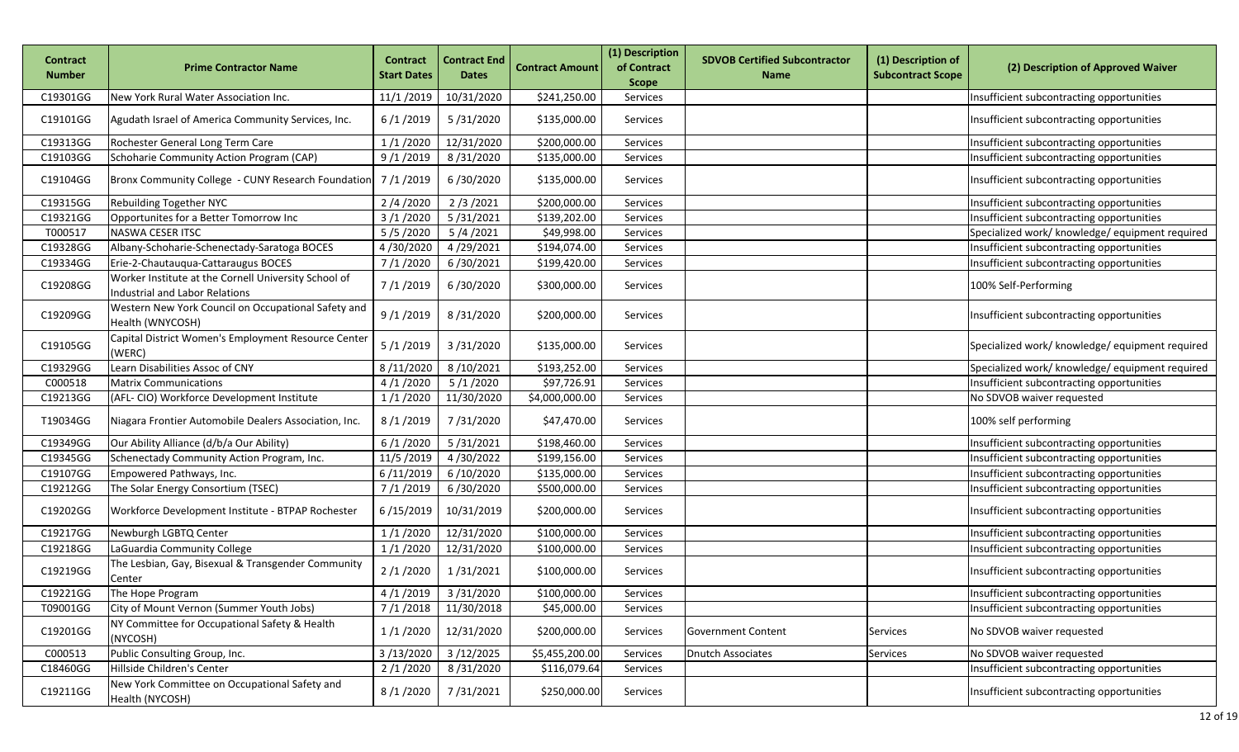| <b>Contract</b><br><b>Number</b> | <b>Prime Contractor Name</b>                                                           | <b>Contract</b><br><b>Start Dates</b> | <b>Contract End</b><br><b>Dates</b> | <b>Contract Amount</b> | (1) Description<br>of Contract<br><b>Scope</b> | <b>SDVOB Certified Subcontractor</b><br><b>Name</b> | (1) Description of<br><b>Subcontract Scope</b> | (2) Description of Approved Waiver              |
|----------------------------------|----------------------------------------------------------------------------------------|---------------------------------------|-------------------------------------|------------------------|------------------------------------------------|-----------------------------------------------------|------------------------------------------------|-------------------------------------------------|
| C19301GG                         | New York Rural Water Association Inc.                                                  | 11/1/2019                             | 10/31/2020                          | \$241,250.00           | Services                                       |                                                     |                                                | Insufficient subcontracting opportunities       |
| C19101GG                         | Agudath Israel of America Community Services, Inc.                                     | 6/1/2019                              | 5/31/2020                           | \$135,000.00           | Services                                       |                                                     |                                                | Insufficient subcontracting opportunities       |
| C19313GG                         | Rochester General Long Term Care                                                       | 1/1/2020                              | 12/31/2020                          | \$200,000.00           | Services                                       |                                                     |                                                | Insufficient subcontracting opportunities       |
| C19103GG                         | Schoharie Community Action Program (CAP)                                               | 9/1/2019                              | 8/31/2020                           | \$135,000.00           | Services                                       |                                                     |                                                | Insufficient subcontracting opportunities       |
| C19104GG                         | Bronx Community College - CUNY Research Foundation                                     | 7/1/2019                              | 6/30/2020                           | \$135,000.00           | Services                                       |                                                     |                                                | Insufficient subcontracting opportunities       |
| C19315GG                         | Rebuilding Together NYC                                                                | 2/4/2020                              | 2/3/2021                            | \$200,000.00           | Services                                       |                                                     |                                                | Insufficient subcontracting opportunities       |
| C19321GG                         | Opportunites for a Better Tomorrow Inc                                                 | 3/1/2020                              | 5/31/2021                           | \$139,202.00           | Services                                       |                                                     |                                                | Insufficient subcontracting opportunities       |
| T000517                          | NASWA CESER ITSC                                                                       | 5/5/2020                              | 5/4/2021                            | \$49,998.00            | Services                                       |                                                     |                                                | Specialized work/ knowledge/ equipment required |
| C19328GG                         | Albany-Schoharie-Schenectady-Saratoga BOCES                                            | 4/30/2020                             | 4/29/2021                           | \$194,074.00           | Services                                       |                                                     |                                                | Insufficient subcontracting opportunities       |
| C19334GG                         | Erie-2-Chautauqua-Cattaraugus BOCES                                                    | 7/1/2020                              | 6/30/2021                           | \$199,420.00           | Services                                       |                                                     |                                                | Insufficient subcontracting opportunities       |
| C19208GG                         | Worker Institute at the Cornell University School of<br>Industrial and Labor Relations | 7/1/2019                              | 6/30/2020                           | \$300,000.00           | Services                                       |                                                     |                                                | 100% Self-Performing                            |
| C19209GG                         | Western New York Council on Occupational Safety and<br>Health (WNYCOSH)                | 9/1/2019                              | 8/31/2020                           | \$200,000.00           | Services                                       |                                                     |                                                | Insufficient subcontracting opportunities       |
| C19105GG                         | Capital District Women's Employment Resource Center<br>(WERC)                          | 5/1/2019                              | 3/31/2020                           | \$135,000.00           | Services                                       |                                                     |                                                | Specialized work/ knowledge/ equipment required |
| C19329GG                         | Learn Disabilities Assoc of CNY                                                        | 8/11/2020                             | 8/10/2021                           | \$193,252.00           | Services                                       |                                                     |                                                | Specialized work/ knowledge/ equipment required |
| C000518                          | <b>Matrix Communications</b>                                                           | 4/1/2020                              | 5/1/2020                            | \$97,726.91            | Services                                       |                                                     |                                                | Insufficient subcontracting opportunities       |
| C19213GG                         | (AFL- CIO) Workforce Development Institute                                             | 1/1/2020                              | 11/30/2020                          | \$4,000,000.00         | Services                                       |                                                     |                                                | No SDVOB waiver requested                       |
| T19034GG                         | Niagara Frontier Automobile Dealers Association, Inc.                                  | 8/1/2019                              | 7/31/2020                           | \$47,470.00            | Services                                       |                                                     |                                                | 100% self performing                            |
| C19349GG                         | Our Ability Alliance (d/b/a Our Ability)                                               | 6/1/2020                              | 5/31/2021                           | \$198,460.00           | Services                                       |                                                     |                                                | Insufficient subcontracting opportunities       |
| C19345GG                         | Schenectady Community Action Program, Inc.                                             | 11/5/2019                             | 4/30/2022                           | \$199,156.00           | Services                                       |                                                     |                                                | Insufficient subcontracting opportunities       |
| C19107GG                         | Empowered Pathways, Inc.                                                               | 6/11/2019                             | 6/10/2020                           | \$135,000.00           | Services                                       |                                                     |                                                | Insufficient subcontracting opportunities       |
| C19212GG                         | The Solar Energy Consortium (TSEC)                                                     | 7/1/2019                              | 6/30/2020                           | \$500,000.00           | Services                                       |                                                     |                                                | Insufficient subcontracting opportunities       |
| C19202GG                         | Workforce Development Institute - BTPAP Rochester                                      | 6/15/2019                             | 10/31/2019                          | \$200,000.00           | Services                                       |                                                     |                                                | Insufficient subcontracting opportunities       |
| C19217GG                         | Newburgh LGBTQ Center                                                                  | 1/1/2020                              | 12/31/2020                          | \$100,000.00           | Services                                       |                                                     |                                                | Insufficient subcontracting opportunities       |
| C19218GG                         | LaGuardia Community College                                                            | 1/1/2020                              | 12/31/2020                          | \$100,000.00           | Services                                       |                                                     |                                                | Insufficient subcontracting opportunities       |
| C19219GG                         | The Lesbian, Gay, Bisexual & Transgender Community<br>Center                           | 2/1/2020                              | 1/31/2021                           | \$100,000.00           | Services                                       |                                                     |                                                | Insufficient subcontracting opportunities       |
| C19221GG                         | The Hope Program                                                                       |                                       | 4/1/2019 3/31/2020                  | \$100,000.00           | Services                                       |                                                     |                                                | Insufficient subcontracting opportunities       |
| T09001GG                         | City of Mount Vernon (Summer Youth Jobs)                                               | 7/1/2018                              | 11/30/2018                          | \$45,000.00            | Services                                       |                                                     |                                                | Insufficient subcontracting opportunities       |
| C19201GG                         | NY Committee for Occupational Safety & Health<br>(NYCOSH)                              | 1/1/2020                              | 12/31/2020                          | \$200,000.00           | Services                                       | <b>Government Content</b>                           | <b>Services</b>                                | No SDVOB waiver requested                       |
| C000513                          | Public Consulting Group, Inc.                                                          | 3/13/2020                             | 3/12/2025                           | \$5,455,200.00         | Services                                       | <b>Dnutch Associates</b>                            | Services                                       | No SDVOB waiver requested                       |
| C18460GG                         | Hillside Children's Center                                                             | 2/1/2020                              | 8/31/2020                           | \$116,079.64           | Services                                       |                                                     |                                                | Insufficient subcontracting opportunities       |
| C19211GG                         | New York Committee on Occupational Safety and<br>Health (NYCOSH)                       | 8/1/2020                              | 7/31/2021                           | \$250,000.00           | Services                                       |                                                     |                                                | Insufficient subcontracting opportunities       |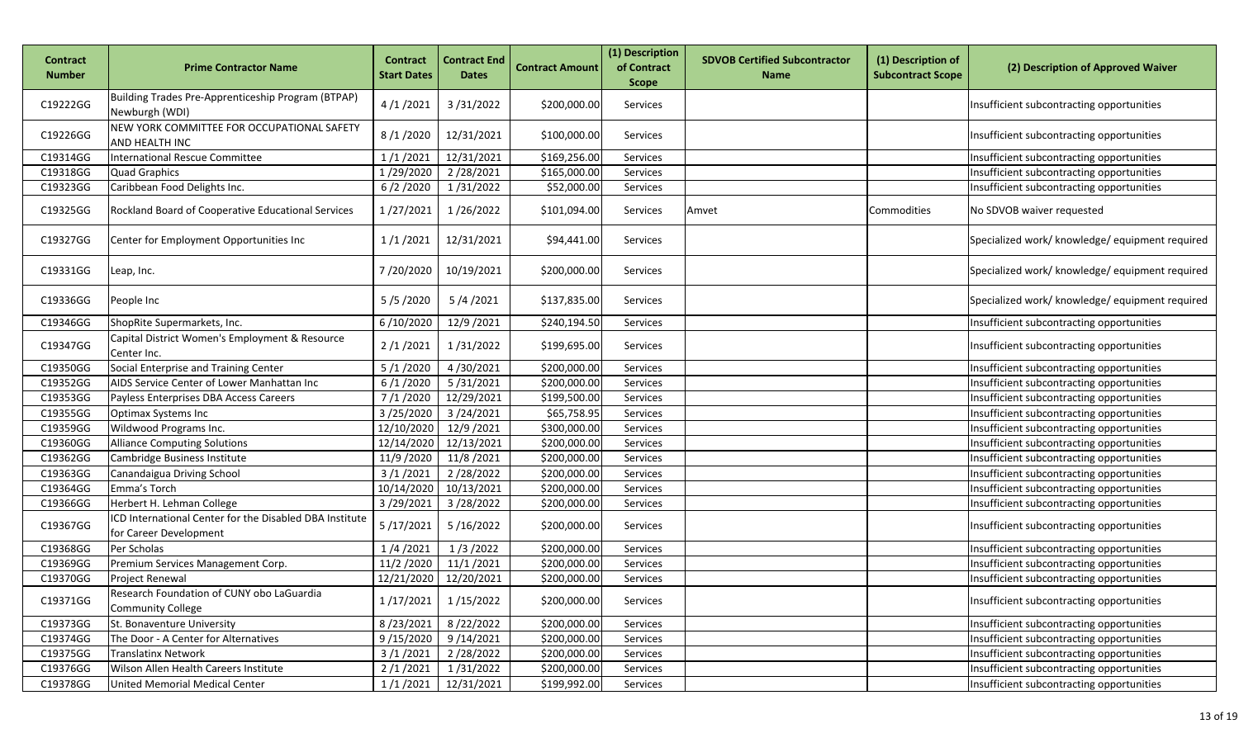| <b>Contract</b><br><b>Number</b> | <b>Prime Contractor Name</b>                                                      | <b>Contract</b><br><b>Start Dates</b> | <b>Contract End</b><br><b>Dates</b> | <b>Contract Amount</b> | (1) Description<br>of Contract<br><b>Scope</b> | <b>SDVOB Certified Subcontractor</b><br><b>Name</b> | (1) Description of<br><b>Subcontract Scope</b> | (2) Description of Approved Waiver              |
|----------------------------------|-----------------------------------------------------------------------------------|---------------------------------------|-------------------------------------|------------------------|------------------------------------------------|-----------------------------------------------------|------------------------------------------------|-------------------------------------------------|
| C19222GG                         | Building Trades Pre-Apprenticeship Program (BTPAP)<br>Newburgh (WDI)              | 4/1/2021                              | 3/31/2022                           | \$200,000.00           | Services                                       |                                                     |                                                | Insufficient subcontracting opportunities       |
| C19226GG                         | NEW YORK COMMITTEE FOR OCCUPATIONAL SAFETY<br>AND HEALTH INC                      | 8/1/2020                              | 12/31/2021                          | \$100,000.00           | Services                                       |                                                     |                                                | Insufficient subcontracting opportunities       |
| C19314GG                         | <b>International Rescue Committee</b>                                             | 1/1/2021                              | 12/31/2021                          | \$169,256.00           | Services                                       |                                                     |                                                | Insufficient subcontracting opportunities       |
| C19318GG                         | <b>Quad Graphics</b>                                                              | 1/29/2020                             | 2/28/2021                           | \$165,000.00           | Services                                       |                                                     |                                                | Insufficient subcontracting opportunities       |
| C19323GG                         | Caribbean Food Delights Inc.                                                      | 6/2/2020                              | 1/31/2022                           | \$52,000.00            | Services                                       |                                                     |                                                | Insufficient subcontracting opportunities       |
| C19325GG                         | Rockland Board of Cooperative Educational Services                                | 1/27/2021                             | 1/26/2022                           | \$101,094.00           | Services                                       | Amvet                                               | Commodities                                    | No SDVOB waiver requested                       |
| C19327GG                         | Center for Employment Opportunities Inc                                           | 1/1/2021                              | 12/31/2021                          | \$94,441.00            | Services                                       |                                                     |                                                | Specialized work/ knowledge/ equipment required |
| C19331GG                         | Leap, Inc.                                                                        | 7/20/2020                             | 10/19/2021                          | \$200,000.00           | Services                                       |                                                     |                                                | Specialized work/ knowledge/ equipment required |
| C19336GG                         | People Inc                                                                        | 5/5/2020                              | 5/4/2021                            | \$137,835.00           | Services                                       |                                                     |                                                | Specialized work/ knowledge/ equipment required |
| C19346GG                         | ShopRite Supermarkets, Inc.                                                       | 6/10/2020                             | 12/9/2021                           | \$240,194.50           | Services                                       |                                                     |                                                | Insufficient subcontracting opportunities       |
| C19347GG                         | Capital District Women's Employment & Resource<br>Center Inc.                     | 2/1/2021                              | 1/31/2022                           | \$199,695.00           | Services                                       |                                                     |                                                | Insufficient subcontracting opportunities       |
| C19350GG                         | Social Enterprise and Training Center                                             | 5/1/2020                              | 4/30/2021                           | \$200,000.00           | Services                                       |                                                     |                                                | Insufficient subcontracting opportunities       |
| C19352GG                         | AIDS Service Center of Lower Manhattan Inc                                        | 6/1/2020                              | 5/31/2021                           | \$200,000.00           | Services                                       |                                                     |                                                | Insufficient subcontracting opportunities       |
| C19353GG                         | Payless Enterprises DBA Access Careers                                            | 7/1/2020                              | 12/29/2021                          | \$199,500.00           | Services                                       |                                                     |                                                | Insufficient subcontracting opportunities       |
| C19355GG                         | <b>Optimax Systems Inc</b>                                                        | 3/25/2020                             | 3/24/2021                           | \$65,758.95            | Services                                       |                                                     |                                                | Insufficient subcontracting opportunities       |
| C19359GG                         | Wildwood Programs Inc.                                                            | 12/10/2020                            | 12/9/2021                           | \$300,000.00           | Services                                       |                                                     |                                                | Insufficient subcontracting opportunities       |
| C19360GG                         | <b>Alliance Computing Solutions</b>                                               | 12/14/2020                            | 12/13/2021                          | \$200,000.00           | Services                                       |                                                     |                                                | Insufficient subcontracting opportunities       |
| C19362GG                         | Cambridge Business Institute                                                      | 11/9 /2020                            | 11/8/2021                           | \$200,000.00           | Services                                       |                                                     |                                                | Insufficient subcontracting opportunities       |
| C19363GG                         | Canandaigua Driving School                                                        | 3/1/2021                              | 2/28/2022                           | \$200,000.00           | Services                                       |                                                     |                                                | Insufficient subcontracting opportunities       |
| C19364GG                         | Emma's Torch                                                                      | 10/14/2020                            | 10/13/2021                          | \$200,000.00           | Services                                       |                                                     |                                                | Insufficient subcontracting opportunities       |
| C19366GG                         | Herbert H. Lehman College                                                         | 3/29/2021                             | 3/28/2022                           | \$200,000.00           | Services                                       |                                                     |                                                | Insufficient subcontracting opportunities       |
| C19367GG                         | ICD International Center for the Disabled DBA Institute<br>for Career Development | 5/17/2021                             | 5/16/2022                           | \$200,000.00           | Services                                       |                                                     |                                                | Insufficient subcontracting opportunities       |
| C19368GG                         | Per Scholas                                                                       | 1/4/2021                              | 1/3/2022                            | \$200,000.00           | Services                                       |                                                     |                                                | Insufficient subcontracting opportunities       |
| C19369GG                         | Premium Services Management Corp.                                                 | 11/2/2020                             | 11/1/2021                           | \$200,000.00           | Services                                       |                                                     |                                                | Insufficient subcontracting opportunities       |
| C19370GG                         | <b>Project Renewal</b>                                                            | 12/21/2020                            | 12/20/2021                          | \$200,000.00           | Services                                       |                                                     |                                                | Insufficient subcontracting opportunities       |
| C19371GG                         | Research Foundation of CUNY obo LaGuardia<br><b>Community College</b>             | 1/17/2021                             | 1/15/2022                           | \$200,000.00           | Services                                       |                                                     |                                                | Insufficient subcontracting opportunities       |
| C19373GG                         | St. Bonaventure University                                                        | 8/23/2021                             | 8/22/2022                           | \$200,000.00           | Services                                       |                                                     |                                                | Insufficient subcontracting opportunities       |
| C19374GG                         | The Door - A Center for Alternatives                                              | 9/15/2020                             | 9/14/2021                           | \$200,000.00           | Services                                       |                                                     |                                                | Insufficient subcontracting opportunities       |
| C19375GG                         | <b>Translatinx Network</b>                                                        | 3/1/2021                              | 2/28/2022                           | \$200,000.00           | Services                                       |                                                     |                                                | Insufficient subcontracting opportunities       |
| C19376GG                         | Wilson Allen Health Careers Institute                                             | 2/1/2021                              | 1/31/2022                           | \$200,000.00           | Services                                       |                                                     |                                                | Insufficient subcontracting opportunities       |
| C19378GG                         | United Memorial Medical Center                                                    | 1/1/2021                              | 12/31/2021                          | \$199,992.00           | Services                                       |                                                     |                                                | Insufficient subcontracting opportunities       |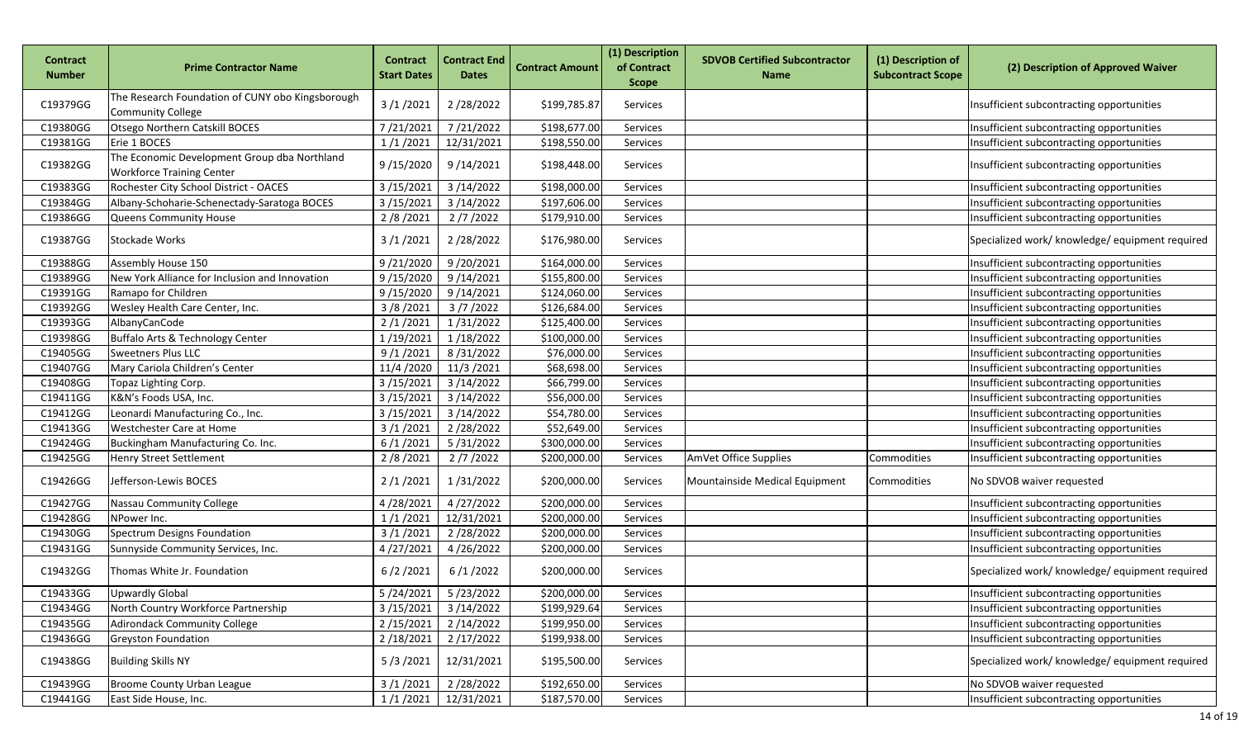| <b>Contract</b><br><b>Number</b> | <b>Prime Contractor Name</b>                                                     | <b>Contract</b><br><b>Start Dates</b> | <b>Contract End</b><br><b>Dates</b> | <b>Contract Amount</b> | (1) Description<br>of Contract<br><b>Scope</b> | <b>SDVOB Certified Subcontractor</b><br><b>Name</b> | (1) Description of<br><b>Subcontract Scope</b> | (2) Description of Approved Waiver              |
|----------------------------------|----------------------------------------------------------------------------------|---------------------------------------|-------------------------------------|------------------------|------------------------------------------------|-----------------------------------------------------|------------------------------------------------|-------------------------------------------------|
| C19379GG                         | The Research Foundation of CUNY obo Kingsborough<br><b>Community College</b>     | 3/1/2021                              | 2/28/2022                           | \$199,785.87           | Services                                       |                                                     |                                                | Insufficient subcontracting opportunities       |
| C19380GG                         | Otsego Northern Catskill BOCES                                                   | 7/21/2021                             | 7/21/2022                           | \$198,677.00           | Services                                       |                                                     |                                                | Insufficient subcontracting opportunities       |
| C19381GG                         | Erie 1 BOCES                                                                     | 1/1/2021                              | 12/31/2021                          | \$198,550.00           | Services                                       |                                                     |                                                | Insufficient subcontracting opportunities       |
| C19382GG                         | The Economic Development Group dba Northland<br><b>Workforce Training Center</b> | 9/15/2020                             | 9/14/2021                           | \$198,448.00           | Services                                       |                                                     |                                                | Insufficient subcontracting opportunities       |
| C19383GG                         | Rochester City School District - OACES                                           | 3/15/2021                             | 3/14/2022                           | \$198,000.00           | Services                                       |                                                     |                                                | Insufficient subcontracting opportunities       |
| C19384GG                         | Albany-Schoharie-Schenectady-Saratoga BOCES                                      | 3/15/202                              | 3/14/2022                           | \$197,606.00           | Services                                       |                                                     |                                                | Insufficient subcontracting opportunities       |
| C19386GG                         | Queens Community House                                                           | 2/8/2021                              | 2/7/2022                            | \$179,910.00           | Services                                       |                                                     |                                                | Insufficient subcontracting opportunities       |
| C19387GG                         | Stockade Works                                                                   | 3/1/2021                              | 2/28/2022                           | \$176,980.00           | Services                                       |                                                     |                                                | Specialized work/ knowledge/ equipment required |
| C19388GG                         | Assembly House 150                                                               | 9/21/2020                             | 9/20/2021                           | \$164,000.00           | Services                                       |                                                     |                                                | Insufficient subcontracting opportunities       |
| C19389GG                         | New York Alliance for Inclusion and Innovation                                   | 9/15/2020                             | 9/14/2021                           | \$155,800.00           | Services                                       |                                                     |                                                | Insufficient subcontracting opportunities       |
| C19391GG                         | Ramapo for Children                                                              | 9/15/2020                             | 9/14/2021                           | \$124,060.00           | Services                                       |                                                     |                                                | Insufficient subcontracting opportunities       |
| C19392GG                         | Wesley Health Care Center, Inc.                                                  | 3/8/2021                              | 3/7/2022                            | \$126,684.00           | Services                                       |                                                     |                                                | Insufficient subcontracting opportunities       |
| C19393GG                         | AlbanyCanCode                                                                    | 2/1/2021                              | 1/31/2022                           | \$125,400.00           | Services                                       |                                                     |                                                | Insufficient subcontracting opportunities       |
| C19398GG                         | Buffalo Arts & Technology Center                                                 | 1/19/2021                             | 1/18/2022                           | \$100,000.00           | Services                                       |                                                     |                                                | Insufficient subcontracting opportunities       |
| C19405GG                         | <b>Sweetners Plus LLC</b>                                                        | 9/1/2021                              | 8/31/2022                           | \$76,000.00            | Services                                       |                                                     |                                                | Insufficient subcontracting opportunities       |
| C19407GG                         | Mary Cariola Children's Center                                                   | 11/4 /2020                            | 11/3/2021                           | \$68,698.00            | Services                                       |                                                     |                                                | Insufficient subcontracting opportunities       |
| C19408GG                         | Topaz Lighting Corp.                                                             | 3/15/2021                             | 3/14/2022                           | \$66,799.00            | Services                                       |                                                     |                                                | Insufficient subcontracting opportunities       |
| C19411GG                         | K&N's Foods USA, Inc.                                                            | 3/15/2021                             | 3/14/2022                           | \$56,000.00            | Services                                       |                                                     |                                                | Insufficient subcontracting opportunities       |
| C19412GG                         | Leonardi Manufacturing Co., Inc.                                                 | 3/15/2021                             | 3/14/2022                           | \$54,780.00            | Services                                       |                                                     |                                                | Insufficient subcontracting opportunities       |
| C19413GG                         | Westchester Care at Home                                                         | 3/1/2021                              | 2/28/2022                           | \$52,649.00            | Services                                       |                                                     |                                                | Insufficient subcontracting opportunities       |
| C19424GG                         | Buckingham Manufacturing Co. Inc.                                                | 6/1/2021                              | 5/31/2022                           | \$300,000.00           | Services                                       |                                                     |                                                | Insufficient subcontracting opportunities       |
| C19425GG                         | <b>Henry Street Settlement</b>                                                   | 2/8/2021                              | 2/7/2022                            | \$200,000.00           | Services                                       | AmVet Office Supplies                               | Commodities                                    | Insufficient subcontracting opportunities       |
| C19426GG                         | Jefferson-Lewis BOCES                                                            | 2/1/2021                              | 1/31/2022                           | \$200,000.00           | Services                                       | Mountainside Medical Equipment                      | Commodities                                    | No SDVOB waiver requested                       |
| C19427GG                         | Nassau Community College                                                         | 4/28/2021                             | 4/27/2022                           | \$200,000.00           | Services                                       |                                                     |                                                | Insufficient subcontracting opportunities       |
| C19428GG                         | NPower Inc.                                                                      | 1/1/2021                              | 12/31/2021                          | \$200,000.00           | Services                                       |                                                     |                                                | Insufficient subcontracting opportunities       |
| C19430GG                         | Spectrum Designs Foundation                                                      | 3/1/2021                              | 2/28/2022                           | \$200,000.00           | Services                                       |                                                     |                                                | Insufficient subcontracting opportunities       |
| C19431GG                         | Sunnyside Community Services, Inc.                                               | 4/27/2021                             | 4/26/2022                           | \$200,000.00           | Services                                       |                                                     |                                                | Insufficient subcontracting opportunities       |
| C19432GG                         | Thomas White Jr. Foundation                                                      | 6/2/2021                              | 6/1/2022                            | \$200,000.00           | Services                                       |                                                     |                                                | Specialized work/ knowledge/ equipment required |
| C19433GG                         | <b>Upwardly Global</b>                                                           |                                       | 5/24/2021    5/23/2022              | \$200,000.00           | Services                                       |                                                     |                                                | Insufficient subcontracting opportunities       |
| C19434GG                         | North Country Workforce Partnership                                              | 3/15/2021                             | 3/14/2022                           | \$199,929.64           | Services                                       |                                                     |                                                | Insufficient subcontracting opportunities       |
| C19435GG                         | <b>Adirondack Community College</b>                                              | 2/15/2021                             | 2/14/2022                           | \$199,950.00           | Services                                       |                                                     |                                                | Insufficient subcontracting opportunities       |
| C19436GG                         | <b>Greyston Foundation</b>                                                       | 2/18/2021                             | 2/17/2022                           | \$199,938.00           | Services                                       |                                                     |                                                | Insufficient subcontracting opportunities       |
| C19438GG                         | <b>Building Skills NY</b>                                                        | 5/3/2021                              | 12/31/2021                          | \$195,500.00           | Services                                       |                                                     |                                                | Specialized work/ knowledge/ equipment required |
| C19439GG                         | Broome County Urban League                                                       | 3/1/2021                              | 2/28/2022                           | \$192,650.00           | Services                                       |                                                     |                                                | No SDVOB waiver requested                       |
| C19441GG                         | East Side House, Inc.                                                            | 1/1/2021                              | 12/31/2021                          | \$187,570.00           | Services                                       |                                                     |                                                | Insufficient subcontracting opportunities       |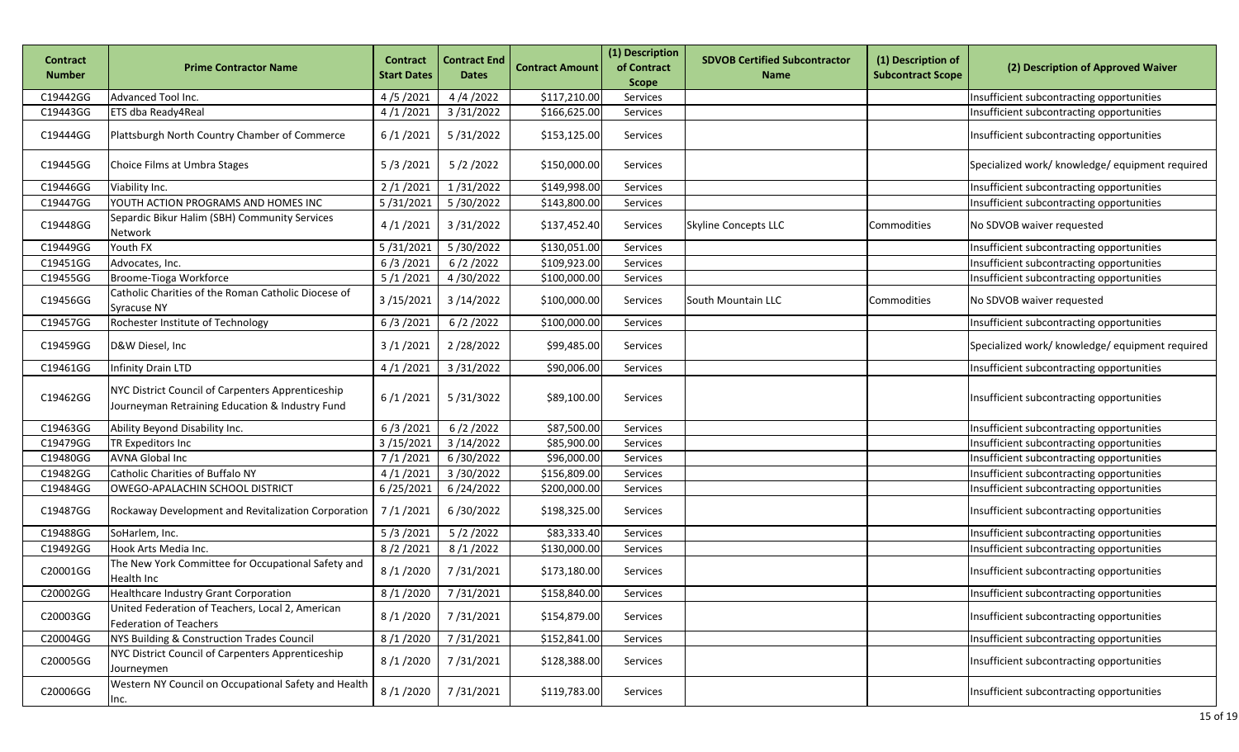| <b>Contract</b><br><b>Number</b> | <b>Prime Contractor Name</b>                                                                         | <b>Contract</b><br><b>Start Dates</b> | <b>Contract End</b><br><b>Dates</b> | <b>Contract Amount</b> | (1) Description<br>of Contract<br><b>Scope</b> | <b>SDVOB Certified Subcontractor</b><br><b>Name</b> | (1) Description of<br><b>Subcontract Scope</b> | (2) Description of Approved Waiver              |
|----------------------------------|------------------------------------------------------------------------------------------------------|---------------------------------------|-------------------------------------|------------------------|------------------------------------------------|-----------------------------------------------------|------------------------------------------------|-------------------------------------------------|
| C19442GG                         | Advanced Tool Inc.                                                                                   | 4/5/2021                              | 4/4/2022                            | \$117,210.00           | Services                                       |                                                     |                                                | Insufficient subcontracting opportunities       |
| C19443GG                         | ETS dba Ready4Real                                                                                   | 4/1/2021                              | 3/31/2022                           | \$166,625.00           | Services                                       |                                                     |                                                | Insufficient subcontracting opportunities       |
| C19444GG                         | Plattsburgh North Country Chamber of Commerce                                                        | 6/1/2021                              | 5/31/2022                           | \$153,125.00           | Services                                       |                                                     |                                                | Insufficient subcontracting opportunities       |
| C19445GG                         | Choice Films at Umbra Stages                                                                         | 5/3/2021                              | 5/2/2022                            | \$150,000.00           | Services                                       |                                                     |                                                | Specialized work/ knowledge/ equipment required |
| C19446GG                         | Viability Inc.                                                                                       | 2/1/2021                              | 1/31/2022                           | \$149,998.00           | Services                                       |                                                     |                                                | Insufficient subcontracting opportunities       |
| C19447GG                         | YOUTH ACTION PROGRAMS AND HOMES INC                                                                  | 5/31/2021                             | 5/30/2022                           | \$143,800.00           | Services                                       |                                                     |                                                | Insufficient subcontracting opportunities       |
| C19448GG                         | Separdic Bikur Halim (SBH) Community Services<br>Network                                             | 4/1/2021                              | 3/31/2022                           | \$137,452.40           | Services                                       | <b>Skyline Concepts LLC</b>                         | Commodities                                    | No SDVOB waiver requested                       |
| C19449GG                         | Youth FX                                                                                             | 5/31/2021                             | 5/30/2022                           | \$130,051.00           | Services                                       |                                                     |                                                | Insufficient subcontracting opportunities       |
| C19451GG                         | Advocates, Inc.                                                                                      | 6/3/2021                              | 6/2/2022                            | \$109,923.00           | Services                                       |                                                     |                                                | Insufficient subcontracting opportunities       |
| C19455GG                         | Broome-Tioga Workforce                                                                               | 5/1/2021                              | 4/30/2022                           | \$100,000.00           | Services                                       |                                                     |                                                | Insufficient subcontracting opportunities       |
| C19456GG                         | Catholic Charities of the Roman Catholic Diocese of<br>Syracuse NY                                   | 3/15/2021                             | 3/14/2022                           | \$100,000.00           | Services                                       | South Mountain LLC                                  | Commodities                                    | No SDVOB waiver requested                       |
| C19457GG                         | Rochester Institute of Technology                                                                    | 6/3/2021                              | 6/2/2022                            | \$100,000.00           | Services                                       |                                                     |                                                | Insufficient subcontracting opportunities       |
| C19459GG                         | D&W Diesel, Inc.                                                                                     | 3/1/2021                              | 2/28/2022                           | \$99,485.00            | Services                                       |                                                     |                                                | Specialized work/ knowledge/ equipment required |
| C19461GG                         | Infinity Drain LTD                                                                                   | 4/1/2021                              | 3/31/2022                           | \$90,006.00            | Services                                       |                                                     |                                                | Insufficient subcontracting opportunities       |
| C19462GG                         | NYC District Council of Carpenters Apprenticeship<br>Journeyman Retraining Education & Industry Fund | 6/1/2021                              | 5/31/3022                           | \$89,100.00            | Services                                       |                                                     |                                                | Insufficient subcontracting opportunities       |
| C19463GG                         | Ability Beyond Disability Inc.                                                                       | 6/3/2021                              | 6/2/2022                            | \$87,500.00            | Services                                       |                                                     |                                                | Insufficient subcontracting opportunities       |
| C19479GG                         | TR Expeditors Inc                                                                                    | 3/15/2021                             | 3/14/2022                           | \$85,900.00            | Services                                       |                                                     |                                                | Insufficient subcontracting opportunities       |
| C19480GG                         | <b>AVNA Global Inc</b>                                                                               | 7/1/2021                              | 6/30/2022                           | \$96,000.00            | Services                                       |                                                     |                                                | Insufficient subcontracting opportunities       |
| C19482GG                         | Catholic Charities of Buffalo NY                                                                     | 4/1/2021                              | 3/30/2022                           | \$156,809.00           | Services                                       |                                                     |                                                | Insufficient subcontracting opportunities       |
| C19484GG                         | OWEGO-APALACHIN SCHOOL DISTRICT                                                                      | 6/25/2021                             | 6/24/2022                           | \$200,000.00           | Services                                       |                                                     |                                                | Insufficient subcontracting opportunities       |
| C19487GG                         | Rockaway Development and Revitalization Corporation                                                  | 7/1/2021                              | 6/30/2022                           | \$198,325.00           | Services                                       |                                                     |                                                | Insufficient subcontracting opportunities       |
| C19488GG                         | SoHarlem, Inc.                                                                                       | 5/3/2021                              | 5/2/2022                            | \$83,333.40            | Services                                       |                                                     |                                                | Insufficient subcontracting opportunities       |
| C19492GG                         | Hook Arts Media Inc.                                                                                 | 8/2/2021                              | 8/1/2022                            | \$130,000.00           | Services                                       |                                                     |                                                | Insufficient subcontracting opportunities       |
| C20001GG                         | The New York Committee for Occupational Safety and<br>Health Inc                                     | 8/1/2020                              | 7/31/2021                           | \$173,180.00           | Services                                       |                                                     |                                                | Insufficient subcontracting opportunities       |
| C20002GG                         | Healthcare Industry Grant Corporation                                                                |                                       | 8/1/2020 7/31/2021                  | \$158,840.00           | Services                                       |                                                     |                                                | Insufficient subcontracting opportunities       |
| C20003GG                         | United Federation of Teachers, Local 2, American<br><b>Federation of Teachers</b>                    | 8/1/2020                              | 7/31/2021                           | \$154,879.00           | Services                                       |                                                     |                                                | Insufficient subcontracting opportunities       |
| C20004GG                         | NYS Building & Construction Trades Council                                                           | 8/1/2020                              | 7/31/2021                           | \$152,841.00           | Services                                       |                                                     |                                                | Insufficient subcontracting opportunities       |
| C20005GG                         | NYC District Council of Carpenters Apprenticeship<br>Journeymen                                      | 8/1/2020                              | 7/31/2021                           | \$128,388.00           | Services                                       |                                                     |                                                | Insufficient subcontracting opportunities       |
| C20006GG                         | Western NY Council on Occupational Safety and Health<br>Inc.                                         | 8/1/2020                              | 7/31/2021                           | \$119,783.00           | Services                                       |                                                     |                                                | Insufficient subcontracting opportunities       |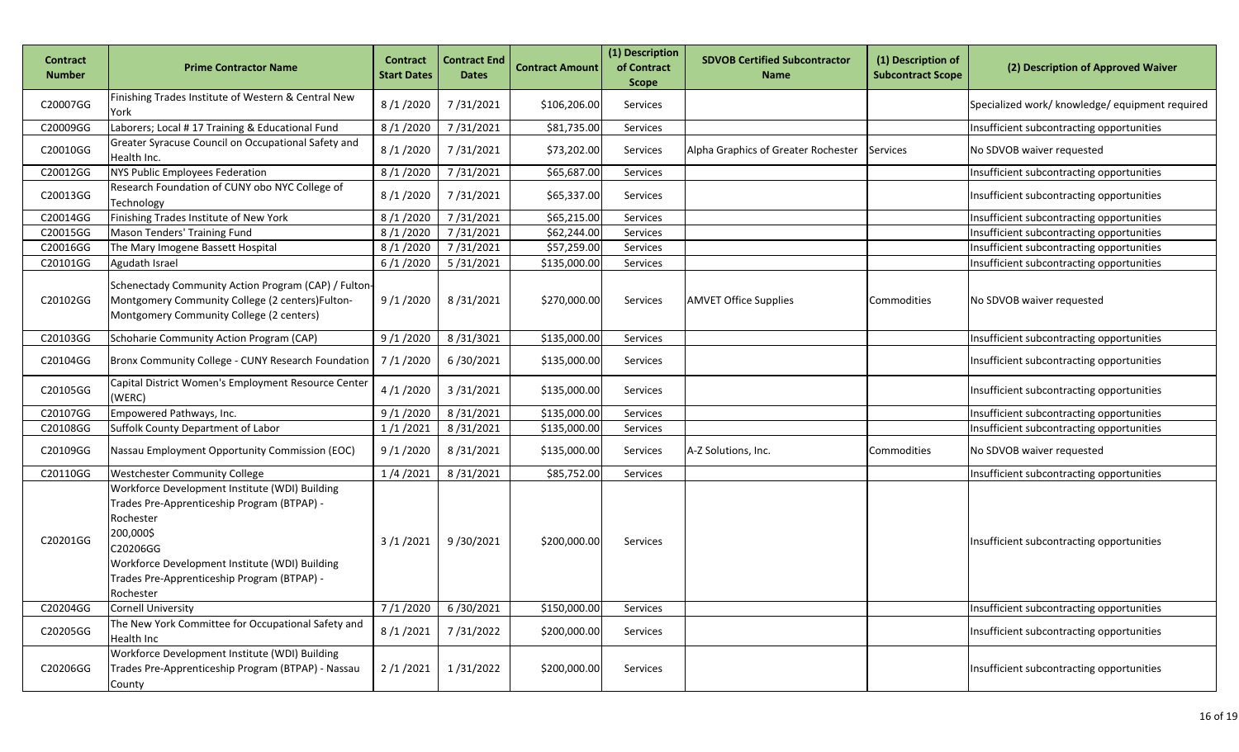| <b>Contract</b><br><b>Number</b> | <b>Prime Contractor Name</b>                                                                                                                                                                                                                      | <b>Contract</b><br><b>Start Dates</b> | <b>Contract End</b><br><b>Dates</b> | <b>Contract Amount</b> | (1) Description<br>of Contract<br><b>Scope</b> | <b>SDVOB Certified Subcontractor</b><br><b>Name</b> | (1) Description of<br><b>Subcontract Scope</b> | (2) Description of Approved Waiver              |
|----------------------------------|---------------------------------------------------------------------------------------------------------------------------------------------------------------------------------------------------------------------------------------------------|---------------------------------------|-------------------------------------|------------------------|------------------------------------------------|-----------------------------------------------------|------------------------------------------------|-------------------------------------------------|
| C20007GG                         | Finishing Trades Institute of Western & Central New<br>York                                                                                                                                                                                       | 8/1/2020                              | 7/31/2021                           | \$106,206.00           | Services                                       |                                                     |                                                | Specialized work/ knowledge/ equipment required |
| C20009GG                         | Laborers; Local #17 Training & Educational Fund                                                                                                                                                                                                   | 8/1/2020                              | 7/31/2021                           | \$81,735.00            | Services                                       |                                                     |                                                | Insufficient subcontracting opportunities       |
| C20010GG                         | Greater Syracuse Council on Occupational Safety and<br>Health Inc.                                                                                                                                                                                | 8/1/2020                              | 7/31/2021                           | \$73,202.00            | Services                                       | Alpha Graphics of Greater Rochester                 | Services                                       | No SDVOB waiver requested                       |
| C20012GG                         | NYS Public Employees Federation                                                                                                                                                                                                                   | 8/1/2020                              | 7/31/2021                           | \$65,687.00            | Services                                       |                                                     |                                                | Insufficient subcontracting opportunities       |
| C20013GG                         | Research Foundation of CUNY obo NYC College of<br>Technology                                                                                                                                                                                      | 8/1/2020                              | 7/31/2021                           | \$65,337.00            | Services                                       |                                                     |                                                | Insufficient subcontracting opportunities       |
| C20014GG                         | Finishing Trades Institute of New York                                                                                                                                                                                                            | 8/1/2020                              | 7/31/2021                           | \$65,215.00            | Services                                       |                                                     |                                                | Insufficient subcontracting opportunities       |
| C20015GG                         | Mason Tenders' Training Fund                                                                                                                                                                                                                      | 8/1/2020                              | 7/31/2021                           | \$62,244.00            | Services                                       |                                                     |                                                | Insufficient subcontracting opportunities       |
| C20016GG                         | The Mary Imogene Bassett Hospital                                                                                                                                                                                                                 | 8/1/2020                              | 7/31/2021                           | \$57,259.00            | Services                                       |                                                     |                                                | Insufficient subcontracting opportunities       |
| C20101GG                         | Agudath Israel                                                                                                                                                                                                                                    | 6/1/2020                              | 5/31/2021                           | \$135,000.00           | Services                                       |                                                     |                                                | Insufficient subcontracting opportunities       |
| C20102GG                         | Schenectady Community Action Program (CAP) / Fulton-<br>Montgomery Community College (2 centers)Fulton-<br>Montgomery Community College (2 centers)                                                                                               | 9 /1 /2020                            | 8/31/2021                           | \$270,000.00           | Services                                       | <b>AMVET Office Supplies</b>                        | Commodities                                    | No SDVOB waiver requested                       |
| C20103GG                         | Schoharie Community Action Program (CAP)                                                                                                                                                                                                          | 9/1/2020                              | 8/31/3021                           | \$135,000.00           | Services                                       |                                                     |                                                | Insufficient subcontracting opportunities       |
| C20104GG                         | Bronx Community College - CUNY Research Foundation                                                                                                                                                                                                | 7/1/2020                              | 6/30/2021                           | \$135,000.00           | Services                                       |                                                     |                                                | Insufficient subcontracting opportunities       |
| C20105GG                         | Capital District Women's Employment Resource Center<br>(WERC)                                                                                                                                                                                     | 4/1/2020                              | 3/31/2021                           | \$135,000.00           | Services                                       |                                                     |                                                | Insufficient subcontracting opportunities       |
| C20107GG                         | Empowered Pathways, Inc.                                                                                                                                                                                                                          | 9/1/2020                              | 8/31/2021                           | \$135,000.00           | Services                                       |                                                     |                                                | Insufficient subcontracting opportunities       |
| C20108GG                         | Suffolk County Department of Labor                                                                                                                                                                                                                | 1/1/2021                              | 8/31/2021                           | \$135,000.00           | Services                                       |                                                     |                                                | Insufficient subcontracting opportunities       |
| C20109GG                         | Nassau Employment Opportunity Commission (EOC)                                                                                                                                                                                                    | 9/1/2020                              | 8/31/2021                           | \$135,000.00           | Services                                       | A-Z Solutions, Inc.                                 | Commodities                                    | No SDVOB waiver requested                       |
| C20110GG                         | <b>Westchester Community College</b>                                                                                                                                                                                                              | 1/4/2021                              | 8/31/2021                           | \$85,752.00            | Services                                       |                                                     |                                                | Insufficient subcontracting opportunities       |
| C20201GG                         | Workforce Development Institute (WDI) Building<br>Trades Pre-Apprenticeship Program (BTPAP) -<br>Rochester<br>200,000\$<br>C20206GG<br>Workforce Development Institute (WDI) Building<br>Trades Pre-Apprenticeship Program (BTPAP) -<br>Rochester | 3/1/2021                              | 9/30/2021                           | \$200,000.00           | Services                                       |                                                     |                                                | Insufficient subcontracting opportunities       |
| C20204GG                         | <b>Cornell University</b>                                                                                                                                                                                                                         | 7/1/2020                              | 6/30/2021                           | \$150,000.00           | Services                                       |                                                     |                                                | Insufficient subcontracting opportunities       |
| C20205GG                         | The New York Committee for Occupational Safety and<br>Health Inc                                                                                                                                                                                  | 8/1/2021                              | 7/31/2022                           | \$200,000.00           | Services                                       |                                                     |                                                | Insufficient subcontracting opportunities       |
| C20206GG                         | Workforce Development Institute (WDI) Building<br>Trades Pre-Apprenticeship Program (BTPAP) - Nassau<br>County                                                                                                                                    | 2/1/2021                              | 1/31/2022                           | \$200,000.00           | Services                                       |                                                     |                                                | Insufficient subcontracting opportunities       |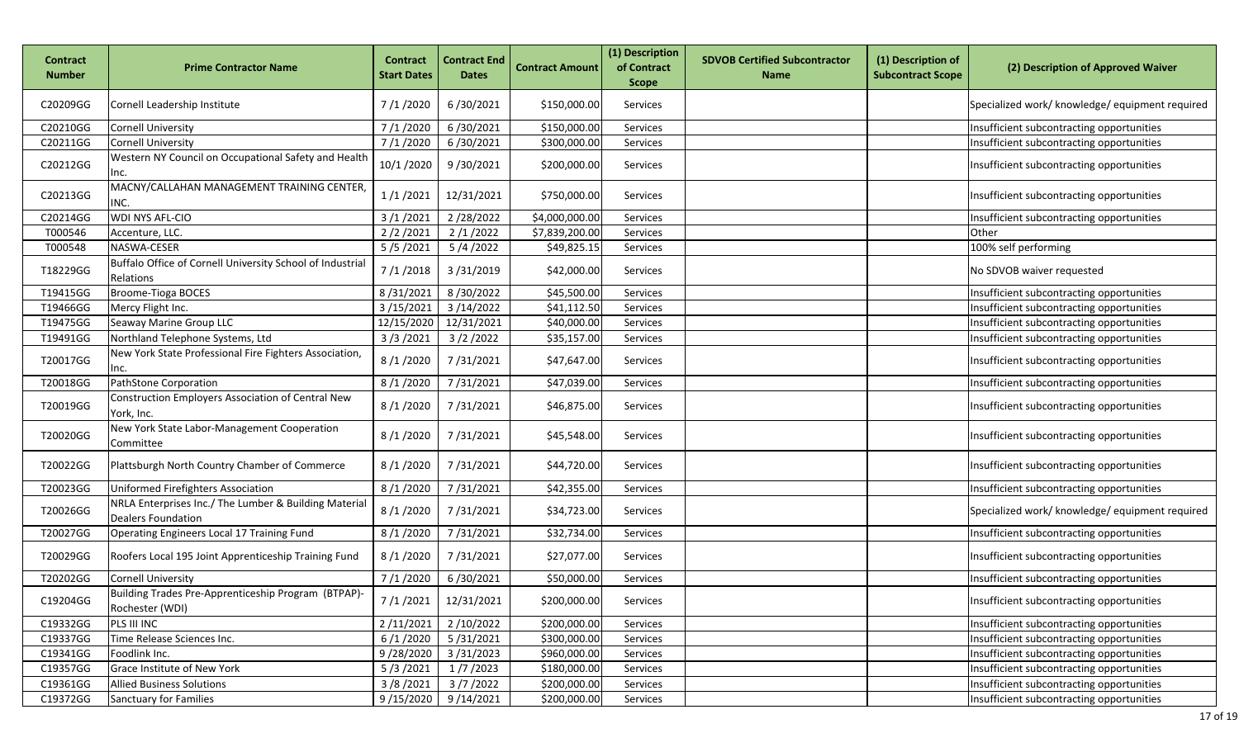| Contract<br><b>Number</b> | <b>Prime Contractor Name</b>                                                       | <b>Contract</b><br><b>Start Dates</b> | <b>Contract End</b><br><b>Dates</b> | <b>Contract Amount</b> | (1) Description<br>of Contract<br><b>Scope</b> | <b>SDVOB Certified Subcontractor</b><br><b>Name</b> | (1) Description of<br><b>Subcontract Scope</b> | (2) Description of Approved Waiver              |
|---------------------------|------------------------------------------------------------------------------------|---------------------------------------|-------------------------------------|------------------------|------------------------------------------------|-----------------------------------------------------|------------------------------------------------|-------------------------------------------------|
| C20209GG                  | Cornell Leadership Institute                                                       | 7/1/2020                              | 6/30/2021                           | \$150,000.00           | Services                                       |                                                     |                                                | Specialized work/ knowledge/ equipment required |
| C20210GG                  | <b>Cornell University</b>                                                          | 7/1/2020                              | 6/30/2021                           | \$150,000.00           | Services                                       |                                                     |                                                | Insufficient subcontracting opportunities       |
| C20211GG                  | <b>Cornell University</b>                                                          | 7/1/2020                              | 6/30/2021                           | \$300,000.00           | Services                                       |                                                     |                                                | Insufficient subcontracting opportunities       |
| C20212GG                  | Western NY Council on Occupational Safety and Health<br>Inc.                       | 10/1 /2020                            | 9/30/2021                           | \$200,000.00           | Services                                       |                                                     |                                                | Insufficient subcontracting opportunities       |
| C20213GG                  | MACNY/CALLAHAN MANAGEMENT TRAINING CENTER,<br>INC.                                 | 1/1/2021                              | 12/31/2021                          | \$750,000.00           | Services                                       |                                                     |                                                | Insufficient subcontracting opportunities       |
| C20214GG                  | <b>WDI NYS AFL-CIO</b>                                                             | 3/1/2021                              | 2/28/2022                           | \$4,000,000.00         | Services                                       |                                                     |                                                | Insufficient subcontracting opportunities       |
| T000546                   | Accenture, LLC.                                                                    | 2/2/2021                              | 2/1/2022                            | \$7,839,200.00         | Services                                       |                                                     |                                                | Other                                           |
| T000548                   | NASWA-CESER                                                                        | 5/5/2021                              | 5/4/2022                            | \$49,825.15            | Services                                       |                                                     |                                                | 100% self performing                            |
| T18229GG                  | Buffalo Office of Cornell University School of Industrial<br>Relations             | 7/1/2018                              | 3/31/2019                           | \$42,000.00            | <b>Services</b>                                |                                                     |                                                | No SDVOB waiver requested                       |
| T19415GG                  | Broome-Tioga BOCES                                                                 | 8/31/2021                             | 8/30/2022                           | \$45,500.00            | Services                                       |                                                     |                                                | Insufficient subcontracting opportunities       |
| T19466GG                  | Mercy Flight Inc.                                                                  | 3/15/2021                             | 3/14/2022                           | \$41,112.50            | Services                                       |                                                     |                                                | Insufficient subcontracting opportunities       |
| T19475GG                  | Seaway Marine Group LLC                                                            | 12/15/2020                            | 12/31/2021                          | \$40,000.00            | Services                                       |                                                     |                                                | Insufficient subcontracting opportunities       |
| T19491GG                  | Northland Telephone Systems, Ltd                                                   | 3/3/2021                              | 3/2/2022                            | \$35,157.00            | Services                                       |                                                     |                                                | Insufficient subcontracting opportunities       |
| T20017GG                  | New York State Professional Fire Fighters Association,<br>Inc.                     | 8/1/2020                              | 7/31/2021                           | \$47,647.00            | Services                                       |                                                     |                                                | Insufficient subcontracting opportunities       |
| T20018GG                  | PathStone Corporation                                                              | 8/1/2020                              | 7/31/2021                           | \$47,039.00            | Services                                       |                                                     |                                                | Insufficient subcontracting opportunities       |
| T20019GG                  | Construction Employers Association of Central New<br>York, Inc.                    | 8/1/2020                              | 7/31/2021                           | \$46,875.00            | Services                                       |                                                     |                                                | Insufficient subcontracting opportunities       |
| T20020GG                  | New York State Labor-Management Cooperation<br>Committee                           | 8/1/2020                              | 7/31/2021                           | \$45,548.00            | Services                                       |                                                     |                                                | Insufficient subcontracting opportunities       |
| T20022GG                  | Plattsburgh North Country Chamber of Commerce                                      | 8/1/2020                              | 7/31/2021                           | \$44,720.00            | Services                                       |                                                     |                                                | Insufficient subcontracting opportunities       |
| T20023GG                  | Uniformed Firefighters Association                                                 | 8/1/2020                              | 7/31/2021                           | \$42,355.00            | Services                                       |                                                     |                                                | Insufficient subcontracting opportunities       |
| T20026GG                  | NRLA Enterprises Inc./ The Lumber & Building Material<br><b>Dealers Foundation</b> | 8/1/2020                              | 7/31/2021                           | \$34,723.00            | Services                                       |                                                     |                                                | Specialized work/ knowledge/ equipment required |
| T20027GG                  | Operating Engineers Local 17 Training Fund                                         | 8/1/2020                              | 7/31/2021                           | \$32,734.00            | Services                                       |                                                     |                                                | Insufficient subcontracting opportunities       |
| T20029GG                  | Roofers Local 195 Joint Apprenticeship Training Fund                               | 8/1/2020                              | 7/31/2021                           | \$27,077.00            | Services                                       |                                                     |                                                | Insufficient subcontracting opportunities       |
| T20202GG                  | <b>Cornell University</b>                                                          | 7/1/2020                              | 6/30/2021                           | \$50,000.00            | Services                                       |                                                     |                                                | Insufficient subcontracting opportunities       |
| C19204GG                  | Building Trades Pre-Apprenticeship Program (BTPAP)-<br>Rochester (WDI)             | 7/1/2021                              | 12/31/2021                          | \$200,000.00           | Services                                       |                                                     |                                                | Insufficient subcontracting opportunities       |
| C19332GG                  | PLS III INC                                                                        | 2/11/2021                             | 2/10/2022                           | \$200,000.00           | Services                                       |                                                     |                                                | Insufficient subcontracting opportunities       |
| C19337GG                  | Time Release Sciences Inc.                                                         | 6/1/2020                              | 5/31/2021                           | \$300,000.00           | Services                                       |                                                     |                                                | Insufficient subcontracting opportunities       |
| C19341GG                  | Foodlink Inc.                                                                      | 9/28/2020                             | 3/31/2023                           | \$960,000.00           | Services                                       |                                                     |                                                | Insufficient subcontracting opportunities       |
| C19357GG                  | Grace Institute of New York                                                        | 5/3/2021                              | 1/7/2023                            | \$180,000.00           | Services                                       |                                                     |                                                | Insufficient subcontracting opportunities       |
| C19361GG                  | <b>Allied Business Solutions</b>                                                   | 3/8/2021                              | 3/7/2022                            | \$200,000.00           | Services                                       |                                                     |                                                | Insufficient subcontracting opportunities       |
| C19372GG                  | <b>Sanctuary for Families</b>                                                      | 9/15/2020                             | 9/14/2021                           | \$200,000.00           | Services                                       |                                                     |                                                | Insufficient subcontracting opportunities       |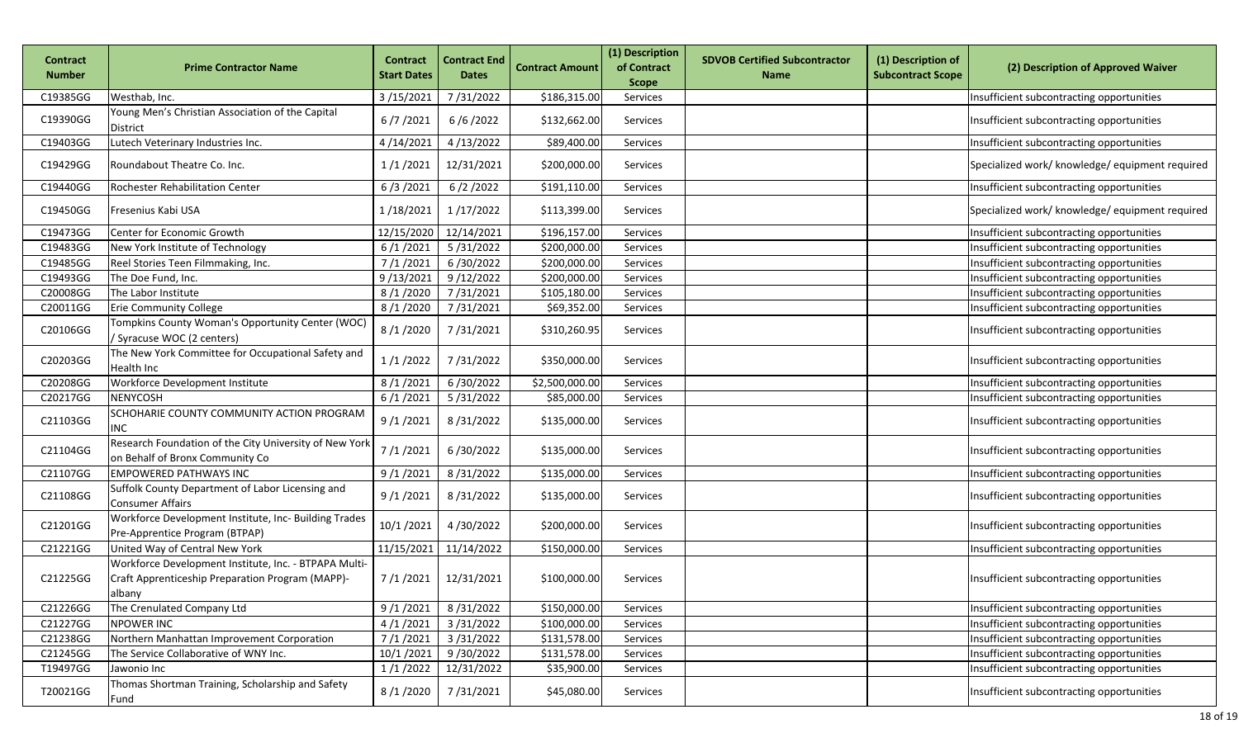| <b>Contract</b><br><b>Number</b> | <b>Prime Contractor Name</b>                                                                                        | <b>Contract</b><br><b>Start Dates</b> | <b>Contract End</b><br><b>Dates</b> | <b>Contract Amount</b> | (1) Description<br>of Contract<br><b>Scope</b> | <b>SDVOB Certified Subcontractor</b><br><b>Name</b> | (1) Description of<br><b>Subcontract Scope</b> | (2) Description of Approved Waiver              |
|----------------------------------|---------------------------------------------------------------------------------------------------------------------|---------------------------------------|-------------------------------------|------------------------|------------------------------------------------|-----------------------------------------------------|------------------------------------------------|-------------------------------------------------|
| C19385GG                         | Westhab, Inc.                                                                                                       | 3/15/2021                             | 7/31/2022                           | \$186,315.00           | Services                                       |                                                     |                                                | Insufficient subcontracting opportunities       |
| C19390GG                         | Young Men's Christian Association of the Capital<br>District                                                        | 6/7/2021                              | 6/6/2022                            | \$132,662.00           | Services                                       |                                                     |                                                | Insufficient subcontracting opportunities       |
| C19403GG                         | Lutech Veterinary Industries Inc.                                                                                   | 4/14/2021                             | 4/13/2022                           | \$89,400.00            | Services                                       |                                                     |                                                | Insufficient subcontracting opportunities       |
| C19429GG                         | Roundabout Theatre Co. Inc.                                                                                         | 1/1/2021                              | 12/31/2021                          | \$200,000.00           | Services                                       |                                                     |                                                | Specialized work/ knowledge/ equipment required |
| C19440GG                         | Rochester Rehabilitation Center                                                                                     | 6/3/2021                              | 6/2/2022                            | \$191,110.00           | Services                                       |                                                     |                                                | Insufficient subcontracting opportunities       |
| C19450GG                         | Fresenius Kabi USA                                                                                                  | 1/18/2021                             | 1/17/2022                           | \$113,399.00           | Services                                       |                                                     |                                                | Specialized work/ knowledge/ equipment required |
| C19473GG                         | Center for Economic Growth                                                                                          | 12/15/2020                            | 12/14/2021                          | \$196,157.00           | Services                                       |                                                     |                                                | Insufficient subcontracting opportunities       |
| C19483GG                         | New York Institute of Technology                                                                                    | 6/1/2021                              | 5/31/2022                           | \$200,000.00           | Services                                       |                                                     |                                                | Insufficient subcontracting opportunities       |
| C19485GG                         | Reel Stories Teen Filmmaking, Inc.                                                                                  | 7/1/2021                              | 6/30/2022                           | \$200,000.00           | Services                                       |                                                     |                                                | Insufficient subcontracting opportunities       |
| C19493GG                         | The Doe Fund, Inc.                                                                                                  | 9/13/202                              | 9/12/2022                           | \$200,000.00           | Services                                       |                                                     |                                                | Insufficient subcontracting opportunities       |
| C20008GG                         | The Labor Institute                                                                                                 | 8/1/2020                              | 7/31/2021                           | \$105,180.00           | Services                                       |                                                     |                                                | Insufficient subcontracting opportunities       |
| C20011GG                         | <b>Erie Community College</b>                                                                                       | 8/1/2020                              | 7/31/2021                           | \$69,352.00            | Services                                       |                                                     |                                                | Insufficient subcontracting opportunities       |
| C20106GG                         | Tompkins County Woman's Opportunity Center (WOC)<br>Syracuse WOC (2 centers)                                        | 8/1/2020                              | 7/31/2021                           | \$310,260.95           | Services                                       |                                                     |                                                | Insufficient subcontracting opportunities       |
| C20203GG                         | The New York Committee for Occupational Safety and<br>Health Inc                                                    | 1/1/2022                              | 7/31/2022                           | \$350,000.00           | Services                                       |                                                     |                                                | Insufficient subcontracting opportunities       |
| C20208GG                         | Workforce Development Institute                                                                                     | 8/1/2021                              | 6/30/2022                           | \$2,500,000.00         | Services                                       |                                                     |                                                | Insufficient subcontracting opportunities       |
| C20217GG                         | NENYCOSH                                                                                                            | 6/1/2021                              | 5/31/2022                           | \$85,000.00            | Services                                       |                                                     |                                                | Insufficient subcontracting opportunities       |
| C21103GG                         | SCHOHARIE COUNTY COMMUNITY ACTION PROGRAM<br>INC                                                                    | 9/1/2021                              | 8/31/2022                           | \$135,000.00           | Services                                       |                                                     |                                                | Insufficient subcontracting opportunities       |
| C21104GG                         | Research Foundation of the City University of New York<br>on Behalf of Bronx Community Co                           | 7/1/2021                              | 6/30/2022                           | \$135,000.00           | Services                                       |                                                     |                                                | Insufficient subcontracting opportunities       |
| C21107GG                         | <b>EMPOWERED PATHWAYS INC</b>                                                                                       | 9/1/2021                              | 8/31/2022                           | \$135,000.00           | Services                                       |                                                     |                                                | Insufficient subcontracting opportunities       |
| C21108GG                         | Suffolk County Department of Labor Licensing and<br><b>Consumer Affairs</b>                                         | 9/1/2021                              | 8/31/2022                           | \$135,000.00           | Services                                       |                                                     |                                                | Insufficient subcontracting opportunities       |
| C21201GG                         | Workforce Development Institute, Inc- Building Trades<br>Pre-Apprentice Program (BTPAP)                             | 10/1/2021                             | 4/30/2022                           | \$200,000.00           | <b>Services</b>                                |                                                     |                                                | Insufficient subcontracting opportunities       |
| C21221GG                         | United Way of Central New York                                                                                      | 11/15/2021                            | 11/14/2022                          | \$150,000.00           | Services                                       |                                                     |                                                | Insufficient subcontracting opportunities       |
| C21225GG                         | Workforce Development Institute, Inc. - BTPAPA Multi-<br>Craft Apprenticeship Preparation Program (MAPP)-<br>albany | 7/1/2021                              | 12/31/2021                          | \$100,000.00           | <b>Services</b>                                |                                                     |                                                | Insufficient subcontracting opportunities       |
| C21226GG                         | The Crenulated Company Ltd                                                                                          | 9/1/2021                              | 8/31/2022                           | \$150,000.00           | Services                                       |                                                     |                                                | Insufficient subcontracting opportunities       |
| C21227GG                         | <b>NPOWER INC</b>                                                                                                   | 4/1/2021                              | 3/31/2022                           | \$100,000.00           | Services                                       |                                                     |                                                | Insufficient subcontracting opportunities       |
| C21238GG                         | Northern Manhattan Improvement Corporation                                                                          | 7/1/2021                              | 3/31/2022                           | \$131,578.00           | Services                                       |                                                     |                                                | Insufficient subcontracting opportunities       |
| C21245GG                         | The Service Collaborative of WNY Inc.                                                                               | 10/1/2021                             | 9/30/2022                           | \$131,578.00           | Services                                       |                                                     |                                                | Insufficient subcontracting opportunities       |
| T19497GG                         | Jawonio Inc                                                                                                         | 1/1/2022                              | 12/31/2022                          | \$35,900.00            | Services                                       |                                                     |                                                | Insufficient subcontracting opportunities       |
| T20021GG                         | Thomas Shortman Training, Scholarship and Safety<br>Fund                                                            | 8/1/2020                              | 7/31/2021                           | \$45,080.00            | Services                                       |                                                     |                                                | Insufficient subcontracting opportunities       |